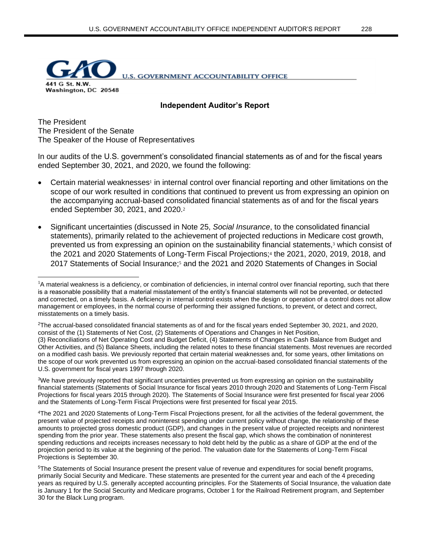

**Independent Auditor's Report**

The President The President of the Senate The Speaker of the House of Representatives

In our audits of the U.S. government's consolidated financial statements as of and for the fiscal years ended September 30, 2021, and 2020, we found the following:

- Certain material weaknesses<sup>1</sup> in internal control over financial reporting and other limitations on the scope of our work resulted in conditions that continued to prevent us from expressing an opinion on the accompanying accrual-based consolidated financial statements as of and for the fiscal years ended September 30, 2021, and 2020.<sup>2</sup>
- Significant uncertainties (discussed in Note 25, *Social Insurance*, to the consolidated financial statements), primarily related to the achievement of projected reductions in Medicare cost growth, prevented us from expressing an opinion on the sustainability financial statements,<sup>3</sup> which consist of the 2021 and 2020 Statements of Long-Term Fiscal Projections;<sup>4</sup> the 2021, 2020, 2019, 2018, and 2017 Statements of Social Insurance;<sup>5</sup> and the 2021 and 2020 Statements of Changes in Social

<sup>3</sup>We have previously reported that significant uncertainties prevented us from expressing an opinion on the sustainability financial statements (Statements of Social Insurance for fiscal years 2010 through 2020 and Statements of Long-Term Fiscal Projections for fiscal years 2015 through 2020). The Statements of Social Insurance were first presented for fiscal year 2006 and the Statements of Long-Term Fiscal Projections were first presented for fiscal year 2015.

<sup>4</sup>The 2021 and 2020 Statements of Long-Term Fiscal Projections present, for all the activities of the federal government, the present value of projected receipts and noninterest spending under current policy without change, the relationship of these amounts to projected gross domestic product (GDP), and changes in the present value of projected receipts and noninterest spending from the prior year. These statements also present the fiscal gap, which shows the combination of noninterest spending reductions and receipts increases necessary to hold debt held by the public as a share of GDP at the end of the projection period to its value at the beginning of the period. The valuation date for the Statements of Long-Term Fiscal Projections is September 30.

<sup>&</sup>lt;sup>1</sup>A material weakness is a deficiency, or combination of deficiencies, in internal control over financial reporting, such that there is a reasonable possibility that a material misstatement of the entity's financial statements will not be prevented, or detected and corrected, on a timely basis. A deficiency in internal control exists when the design or operation of a control does not allow management or employees, in the normal course of performing their assigned functions, to prevent, or detect and correct, misstatements on a timely basis.

<sup>2</sup>The accrual-based consolidated financial statements as of and for the fiscal years ended September 30, 2021, and 2020, consist of the (1) Statements of Net Cost, (2) Statements of Operations and Changes in Net Position, (3) Reconciliations of Net Operating Cost and Budget Deficit, (4) Statements of Changes in Cash Balance from Budget and Other Activities, and (5) Balance Sheets, including the related notes to these financial statements. Most revenues are recorded on a modified cash basis. We previously reported that certain material weaknesses and, for some years, other limitations on the scope of our work prevented us from expressing an opinion on the accrual-based consolidated financial statements of the U.S. government for fiscal years 1997 through 2020.

<sup>5</sup>The Statements of Social Insurance present the present value of revenue and expenditures for social benefit programs, primarily Social Security and Medicare. These statements are presented for the current year and each of the 4 preceding years as required by U.S. generally accepted accounting principles. For the Statements of Social Insurance, the valuation date is January 1 for the Social Security and Medicare programs, October 1 for the Railroad Retirement program, and September 30 for the Black Lung program.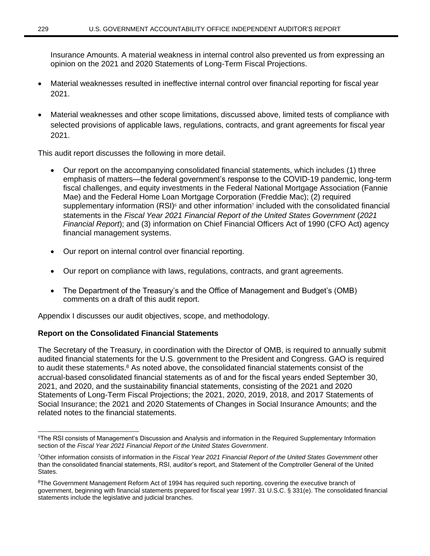Insurance Amounts. A material weakness in internal control also prevented us from expressing an opinion on the 2021 and 2020 Statements of Long-Term Fiscal Projections.

- Material weaknesses resulted in ineffective internal control over financial reporting for fiscal year 2021.
- Material weaknesses and other scope limitations, discussed above, limited tests of compliance with selected provisions of applicable laws, regulations, contracts, and grant agreements for fiscal year 2021.

This audit report discusses the following in more detail.

- Our report on the accompanying consolidated financial statements, which includes (1) three emphasis of matters—the federal government's response to the COVID-19 pandemic, long-term fiscal challenges, and equity investments in the Federal National Mortgage Association (Fannie Mae) and the Federal Home Loan Mortgage Corporation (Freddie Mac); (2) required supplementary information  $(RSI)^6$  and other information<sup>7</sup> included with the consolidated financial statements in the *Fiscal Year 2021 Financial Report of the United States Government* (*2021 Financial Report*); and (3) information on Chief Financial Officers Act of 1990 (CFO Act) agency financial management systems.
- Our report on internal control over financial reporting.
- Our report on compliance with laws, regulations, contracts, and grant agreements.
- The Department of the Treasury's and the Office of Management and Budget's (OMB) comments on a draft of this audit report.

Appendix I discusses our audit objectives, scope, and methodology.

# **Report on the Consolidated Financial Statements**

The Secretary of the Treasury, in coordination with the Director of OMB, is required to annually submit audited financial statements for the U.S. government to the President and Congress. GAO is required to audit these statements.<sup>8</sup> As noted above, the consolidated financial statements consist of the accrual-based consolidated financial statements as of and for the fiscal years ended September 30, 2021, and 2020, and the sustainability financial statements, consisting of the 2021 and 2020 Statements of Long-Term Fiscal Projections; the 2021, 2020, 2019, 2018, and 2017 Statements of Social Insurance; the 2021 and 2020 Statements of Changes in Social Insurance Amounts; and the related notes to the financial statements.

<sup>&</sup>lt;sup>6</sup>The RSI consists of Management's Discussion and Analysis and information in the Required Supplementary Information section of the *Fiscal Year 2021 Financial Report of the United States Government*.

<sup>7</sup>Other information consists of information in the *Fiscal Year 2021 Financial Report of the United States Government* other than the consolidated financial statements, RSI, auditor's report, and Statement of the Comptroller General of the United States.

<sup>&</sup>lt;sup>8</sup>The Government Management Reform Act of 1994 has required such reporting, covering the executive branch of government, beginning with financial statements prepared for fiscal year 1997. 31 U.S.C. § 331(e). The consolidated financial statements include the legislative and judicial branches.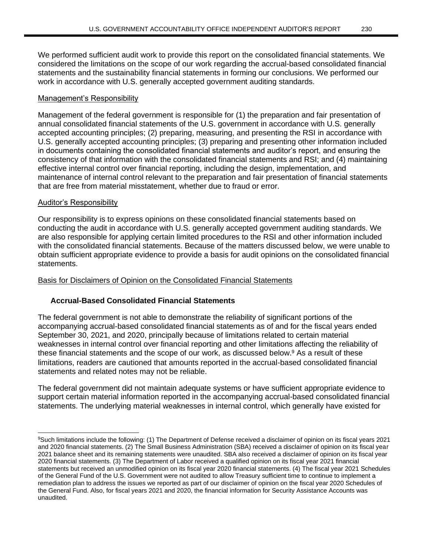work in accordance with U.S. generally accepted government auditing standards.

## Management's Responsibility

Management of the federal government is responsible for (1) the preparation and fair presentation of annual consolidated financial statements of the U.S. government in accordance with U.S. generally accepted accounting principles; (2) preparing, measuring, and presenting the RSI in accordance with U.S. generally accepted accounting principles; (3) preparing and presenting other information included in documents containing the consolidated financial statements and auditor's report, and ensuring the consistency of that information with the consolidated financial statements and RSI; and (4) maintaining effective internal control over financial reporting, including the design, implementation, and maintenance of internal control relevant to the preparation and fair presentation of financial statements that are free from material misstatement, whether due to fraud or error.

### Auditor's Responsibility

Our responsibility is to express opinions on these consolidated financial statements based on conducting the audit in accordance with U.S. generally accepted government auditing standards. We are also responsible for applying certain limited procedures to the RSI and other information included with the consolidated financial statements. Because of the matters discussed below, we were unable to obtain sufficient appropriate evidence to provide a basis for audit opinions on the consolidated financial statements.

### Basis for Disclaimers of Opinion on the Consolidated Financial Statements

## **Accrual-Based Consolidated Financial Statements**

The federal government is not able to demonstrate the reliability of significant portions of the accompanying accrual-based consolidated financial statements as of and for the fiscal years ended September 30, 2021, and 2020, principally because of limitations related to certain material weaknesses in internal control over financial reporting and other limitations affecting the reliability of these financial statements and the scope of our work, as discussed below.<sup>9</sup> As a result of these limitations, readers are cautioned that amounts reported in the accrual-based consolidated financial statements and related notes may not be reliable.

The federal government did not maintain adequate systems or have sufficient appropriate evidence to support certain material information reported in the accompanying accrual-based consolidated financial statements. The underlying material weaknesses in internal control, which generally have existed for

<sup>9</sup>Such limitations include the following: (1) The Department of Defense received a disclaimer of opinion on its fiscal years 2021 and 2020 financial statements. (2) The Small Business Administration (SBA) received a disclaimer of opinion on its fiscal year 2021 balance sheet and its remaining statements were unaudited. SBA also received a disclaimer of opinion on its fiscal year 2020 financial statements. (3) The Department of Labor received a qualified opinion on its fiscal year 2021 financial statements but received an unmodified opinion on its fiscal year 2020 financial statements. (4) The fiscal year 2021 Schedules of the General Fund of the U.S. Government were not audited to allow Treasury sufficient time to continue to implement a remediation plan to address the issues we reported as part of our disclaimer of opinion on the fiscal year 2020 Schedules of the General Fund. Also, for fiscal years 2021 and 2020, the financial information for Security Assistance Accounts was unaudited.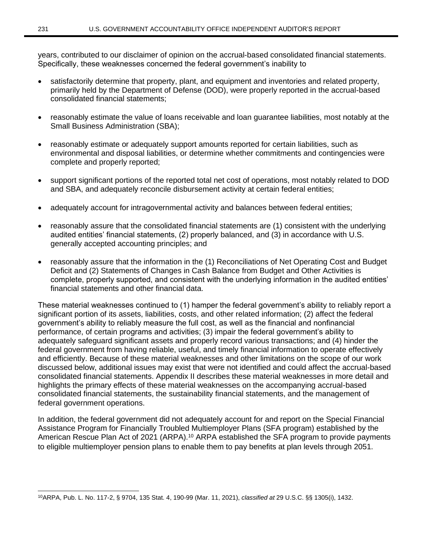years, contributed to our disclaimer of opinion on the accrual-based consolidated financial statements. Specifically, these weaknesses concerned the federal government's inability to

- satisfactorily determine that property, plant, and equipment and inventories and related property, primarily held by the Department of Defense (DOD), were properly reported in the accrual-based consolidated financial statements;
- reasonably estimate the value of loans receivable and loan guarantee liabilities, most notably at the Small Business Administration (SBA);
- reasonably estimate or adequately support amounts reported for certain liabilities, such as environmental and disposal liabilities, or determine whether commitments and contingencies were complete and properly reported;
- support significant portions of the reported total net cost of operations, most notably related to DOD and SBA, and adequately reconcile disbursement activity at certain federal entities;
- adequately account for intragovernmental activity and balances between federal entities;
- reasonably assure that the consolidated financial statements are (1) consistent with the underlying audited entities' financial statements, (2) properly balanced, and (3) in accordance with U.S. generally accepted accounting principles; and
- reasonably assure that the information in the (1) Reconciliations of Net Operating Cost and Budget Deficit and (2) Statements of Changes in Cash Balance from Budget and Other Activities is complete, properly supported, and consistent with the underlying information in the audited entities' financial statements and other financial data.

These material weaknesses continued to (1) hamper the federal government's ability to reliably report a significant portion of its assets, liabilities, costs, and other related information; (2) affect the federal government's ability to reliably measure the full cost, as well as the financial and nonfinancial performance, of certain programs and activities; (3) impair the federal government's ability to adequately safeguard significant assets and properly record various transactions; and (4) hinder the federal government from having reliable, useful, and timely financial information to operate effectively and efficiently. Because of these material weaknesses and other limitations on the scope of our work discussed below, additional issues may exist that were not identified and could affect the accrual-based consolidated financial statements. Appendix II describes these material weaknesses in more detail and highlights the primary effects of these material weaknesses on the accompanying accrual-based consolidated financial statements, the sustainability financial statements, and the management of federal government operations.

In addition, the federal government did not adequately account for and report on the Special Financial Assistance Program for Financially Troubled Multiemployer Plans (SFA program) established by the American Rescue Plan Act of 2021 (ARPA).<sup>10</sup> ARPA established the SFA program to provide payments to eligible multiemployer pension plans to enable them to pay benefits at plan levels through 2051.

<sup>10</sup>ARPA, Pub. L. No. 117-2, § 9704, 135 Stat. 4, 190-99 (Mar. 11, 2021), *classified at* 29 U.S.C. §§ 1305(i), 1432.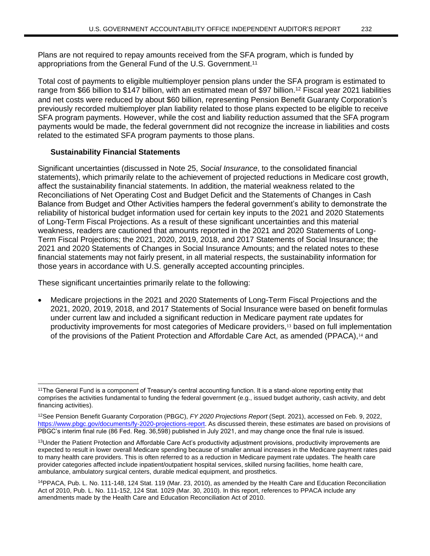Plans are not required to repay amounts received from the SFA program, which is funded by appropriations from the General Fund of the U.S. Government.<sup>11</sup>

Total cost of payments to eligible multiemployer pension plans under the SFA program is estimated to range from \$66 billion to \$147 billion, with an estimated mean of \$97 billion.<sup>12</sup> Fiscal year 2021 liabilities and net costs were reduced by about \$60 billion, representing Pension Benefit Guaranty Corporation's previously recorded multiemployer plan liability related to those plans expected to be eligible to receive SFA program payments. However, while the cost and liability reduction assumed that the SFA program payments would be made, the federal government did not recognize the increase in liabilities and costs related to the estimated SFA program payments to those plans.

## **Sustainability Financial Statements**

Significant uncertainties (discussed in Note 25, *Social Insurance*, to the consolidated financial statements), which primarily relate to the achievement of projected reductions in Medicare cost growth, affect the sustainability financial statements. In addition, the material weakness related to the Reconciliations of Net Operating Cost and Budget Deficit and the Statements of Changes in Cash Balance from Budget and Other Activities hampers the federal government's ability to demonstrate the reliability of historical budget information used for certain key inputs to the 2021 and 2020 Statements of Long-Term Fiscal Projections. As a result of these significant uncertainties and this material weakness, readers are cautioned that amounts reported in the 2021 and 2020 Statements of Long-Term Fiscal Projections; the 2021, 2020, 2019, 2018, and 2017 Statements of Social Insurance; the 2021 and 2020 Statements of Changes in Social Insurance Amounts; and the related notes to these financial statements may not fairly present, in all material respects, the sustainability information for those years in accordance with U.S. generally accepted accounting principles.

These significant uncertainties primarily relate to the following:

• Medicare projections in the 2021 and 2020 Statements of Long-Term Fiscal Projections and the 2021, 2020, 2019, 2018, and 2017 Statements of Social Insurance were based on benefit formulas under current law and included a significant reduction in Medicare payment rate updates for productivity improvements for most categories of Medicare providers,<sup>13</sup> based on full implementation of the provisions of the Patient Protection and Affordable Care Act, as amended (PPACA),<sup>14</sup> and

<sup>&</sup>lt;sup>11</sup>The General Fund is a component of Treasury's central accounting function. It is a stand-alone reporting entity that comprises the activities fundamental to funding the federal government (e.g., issued budget authority, cash activity, and debt financing activities).

<sup>12</sup>See Pension Benefit Guaranty Corporation (PBGC), *FY 2020 Projections Report* (Sept. 2021), accessed on Feb. 9, 2022, [https://www.pbgc.gov/documents/fy-2020-projections-report.](https://www.pbgc.gov/documents/fy-2020-projections-report) As discussed therein, these estimates are based on provisions of PBGC's interim final rule (86 Fed. Reg. 36,598) published in July 2021, and may change once the final rule is issued.

<sup>&</sup>lt;sup>13</sup>Under the Patient Protection and Affordable Care Act's productivity adjustment provisions, productivity improvements are expected to result in lower overall Medicare spending because of smaller annual increases in the Medicare payment rates paid to many health care providers. This is often referred to as a reduction in Medicare payment rate updates. The health care provider categories affected include inpatient/outpatient hospital services, skilled nursing facilities, home health care, ambulance, ambulatory surgical centers, durable medical equipment, and prosthetics.

<sup>14</sup>PPACA, Pub. L. No. 111-148, 124 Stat. 119 (Mar. 23, 2010), as amended by the Health Care and Education Reconciliation Act of 2010, Pub. L. No. 111-152, 124 Stat. 1029 (Mar. 30, 2010). In this report, references to PPACA include any amendments made by the Health Care and Education Reconciliation Act of 2010.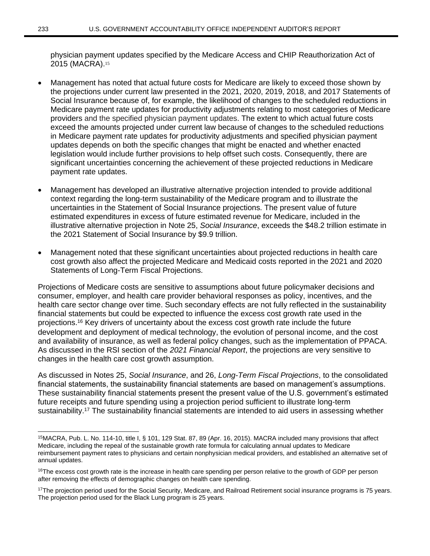physician payment updates specified by the Medicare Access and CHIP Reauthorization Act of 2015 (MACRA).<sup>15</sup>

- Management has noted that actual future costs for Medicare are likely to exceed those shown by the projections under current law presented in the 2021, 2020, 2019, 2018, and 2017 Statements of Social Insurance because of, for example, the likelihood of changes to the scheduled reductions in Medicare payment rate updates for productivity adjustments relating to most categories of Medicare providers and the specified physician payment updates. The extent to which actual future costs exceed the amounts projected under current law because of changes to the scheduled reductions in Medicare payment rate updates for productivity adjustments and specified physician payment updates depends on both the specific changes that might be enacted and whether enacted legislation would include further provisions to help offset such costs. Consequently, there are significant uncertainties concerning the achievement of these projected reductions in Medicare payment rate updates.
- Management has developed an illustrative alternative projection intended to provide additional context regarding the long-term sustainability of the Medicare program and to illustrate the uncertainties in the Statement of Social Insurance projections. The present value of future estimated expenditures in excess of future estimated revenue for Medicare, included in the illustrative alternative projection in Note 25, *Social Insurance*, exceeds the \$48.2 trillion estimate in the 2021 Statement of Social Insurance by \$9.9 trillion.
- Management noted that these significant uncertainties about projected reductions in health care cost growth also affect the projected Medicare and Medicaid costs reported in the 2021 and 2020 Statements of Long-Term Fiscal Projections.

Projections of Medicare costs are sensitive to assumptions about future policymaker decisions and consumer, employer, and health care provider behavioral responses as policy, incentives, and the health care sector change over time. Such secondary effects are not fully reflected in the sustainability financial statements but could be expected to influence the excess cost growth rate used in the projections.<sup>16</sup> Key drivers of uncertainty about the excess cost growth rate include the future development and deployment of medical technology, the evolution of personal income, and the cost and availability of insurance, as well as federal policy changes, such as the implementation of PPACA. As discussed in the RSI section of the *2021 Financial Report*, the projections are very sensitive to changes in the health care cost growth assumption.

As discussed in Notes 25, *Social Insurance*, and 26, *Long-Term Fiscal Projections*, to the consolidated financial statements, the sustainability financial statements are based on management's assumptions. These sustainability financial statements present the present value of the U.S. government's estimated future receipts and future spending using a projection period sufficient to illustrate long-term sustainability.<sup>17</sup> The sustainability financial statements are intended to aid users in assessing whether

<sup>15</sup>MACRA, Pub. L. No. 114-10, title I, § 101, 129 Stat. 87, 89 (Apr. 16, 2015). MACRA included many provisions that affect Medicare, including the repeal of the sustainable growth rate formula for calculating annual updates to Medicare reimbursement payment rates to physicians and certain nonphysician medical providers, and established an alternative set of annual updates.

<sup>&</sup>lt;sup>16</sup>The excess cost growth rate is the increase in health care spending per person relative to the growth of GDP per person after removing the effects of demographic changes on health care spending.

<sup>&</sup>lt;sup>17</sup>The projection period used for the Social Security, Medicare, and Railroad Retirement social insurance programs is 75 years. The projection period used for the Black Lung program is 25 years.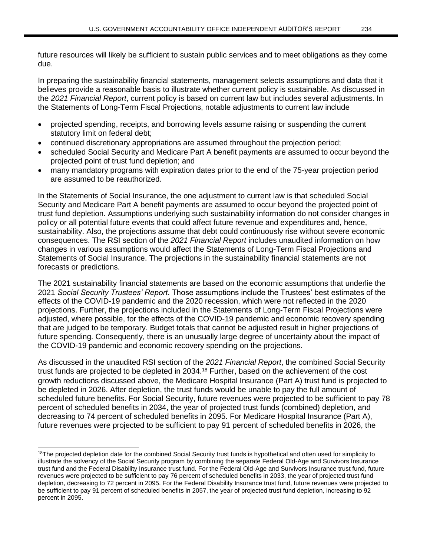future resources will likely be sufficient to sustain public services and to meet obligations as they come due.

In preparing the sustainability financial statements, management selects assumptions and data that it believes provide a reasonable basis to illustrate whether current policy is sustainable. As discussed in the *2021 Financial Report*, current policy is based on current law but includes several adjustments. In the Statements of Long-Term Fiscal Projections, notable adjustments to current law include

- projected spending, receipts, and borrowing levels assume raising or suspending the current statutory limit on federal debt;
- continued discretionary appropriations are assumed throughout the projection period;
- scheduled Social Security and Medicare Part A benefit payments are assumed to occur beyond the projected point of trust fund depletion; and
- many mandatory programs with expiration dates prior to the end of the 75-year projection period are assumed to be reauthorized.

In the Statements of Social Insurance, the one adjustment to current law is that scheduled Social Security and Medicare Part A benefit payments are assumed to occur beyond the projected point of trust fund depletion. Assumptions underlying such sustainability information do not consider changes in policy or all potential future events that could affect future revenue and expenditures and, hence, sustainability. Also, the projections assume that debt could continuously rise without severe economic consequences. The RSI section of the *2021 Financial Report* includes unaudited information on how changes in various assumptions would affect the Statements of Long-Term Fiscal Projections and Statements of Social Insurance. The projections in the sustainability financial statements are not forecasts or predictions.

The 2021 sustainability financial statements are based on the economic assumptions that underlie the 2021 *Social Security Trustees' Report*. Those assumptions include the Trustees' best estimates of the effects of the COVID-19 pandemic and the 2020 recession, which were not reflected in the 2020 projections. Further, the projections included in the Statements of Long-Term Fiscal Projections were adjusted, where possible, for the effects of the COVID-19 pandemic and economic recovery spending that are judged to be temporary. Budget totals that cannot be adjusted result in higher projections of future spending. Consequently, there is an unusually large degree of uncertainty about the impact of the COVID-19 pandemic and economic recovery spending on the projections.

As discussed in the unaudited RSI section of the *2021 Financial Report*, the combined Social Security trust funds are projected to be depleted in 2034.<sup>18</sup> Further, based on the achievement of the cost growth reductions discussed above, the Medicare Hospital Insurance (Part A) trust fund is projected to be depleted in 2026. After depletion, the trust funds would be unable to pay the full amount of scheduled future benefits. For Social Security, future revenues were projected to be sufficient to pay 78 percent of scheduled benefits in 2034, the year of projected trust funds (combined) depletion, and decreasing to 74 percent of scheduled benefits in 2095. For Medicare Hospital Insurance (Part A), future revenues were projected to be sufficient to pay 91 percent of scheduled benefits in 2026, the

<sup>&</sup>lt;sup>18</sup>The projected depletion date for the combined Social Security trust funds is hypothetical and often used for simplicity to illustrate the solvency of the Social Security program by combining the separate Federal Old-Age and Survivors Insurance trust fund and the Federal Disability Insurance trust fund. For the Federal Old-Age and Survivors Insurance trust fund, future revenues were projected to be sufficient to pay 76 percent of scheduled benefits in 2033, the year of projected trust fund depletion, decreasing to 72 percent in 2095. For the Federal Disability Insurance trust fund, future revenues were projected to be sufficient to pay 91 percent of scheduled benefits in 2057, the year of projected trust fund depletion, increasing to 92 percent in 2095.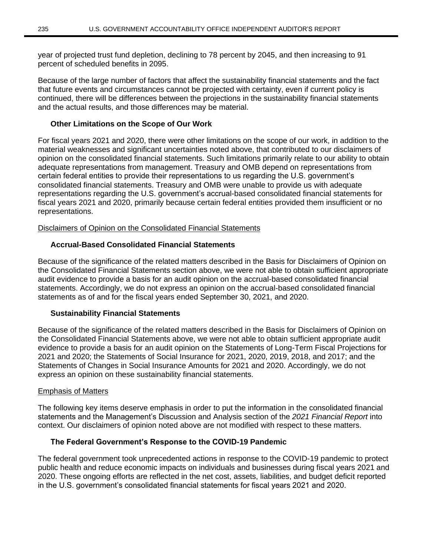year of projected trust fund depletion, declining to 78 percent by 2045, and then increasing to 91 percent of scheduled benefits in 2095.

Because of the large number of factors that affect the sustainability financial statements and the fact that future events and circumstances cannot be projected with certainty, even if current policy is continued, there will be differences between the projections in the sustainability financial statements and the actual results, and those differences may be material.

## **Other Limitations on the Scope of Our Work**

For fiscal years 2021 and 2020, there were other limitations on the scope of our work, in addition to the material weaknesses and significant uncertainties noted above, that contributed to our disclaimers of opinion on the consolidated financial statements. Such limitations primarily relate to our ability to obtain adequate representations from management. Treasury and OMB depend on representations from certain federal entities to provide their representations to us regarding the U.S. government's consolidated financial statements. Treasury and OMB were unable to provide us with adequate representations regarding the U.S. government's accrual-based consolidated financial statements for fiscal years 2021 and 2020, primarily because certain federal entities provided them insufficient or no representations.

## Disclaimers of Opinion on the Consolidated Financial Statements

# **Accrual-Based Consolidated Financial Statements**

Because of the significance of the related matters described in the Basis for Disclaimers of Opinion on the Consolidated Financial Statements section above, we were not able to obtain sufficient appropriate audit evidence to provide a basis for an audit opinion on the accrual-based consolidated financial statements. Accordingly, we do not express an opinion on the accrual-based consolidated financial statements as of and for the fiscal years ended September 30, 2021, and 2020.

## **Sustainability Financial Statements**

Because of the significance of the related matters described in the Basis for Disclaimers of Opinion on the Consolidated Financial Statements above, we were not able to obtain sufficient appropriate audit evidence to provide a basis for an audit opinion on the Statements of Long-Term Fiscal Projections for 2021 and 2020; the Statements of Social Insurance for 2021, 2020, 2019, 2018, and 2017; and the Statements of Changes in Social Insurance Amounts for 2021 and 2020. Accordingly, we do not express an opinion on these sustainability financial statements.

## Emphasis of Matters

The following key items deserve emphasis in order to put the information in the consolidated financial statements and the Management's Discussion and Analysis section of the *2021 Financial Report* into context. Our disclaimers of opinion noted above are not modified with respect to these matters.

## **The Federal Government's Response to the COVID-19 Pandemic**

The federal government took unprecedented actions in response to the COVID-19 pandemic to protect public health and reduce economic impacts on individuals and businesses during fiscal years 2021 and 2020. These ongoing efforts are reflected in the net cost, assets, liabilities, and budget deficit reported in the U.S. government's consolidated financial statements for fiscal years 2021 and 2020.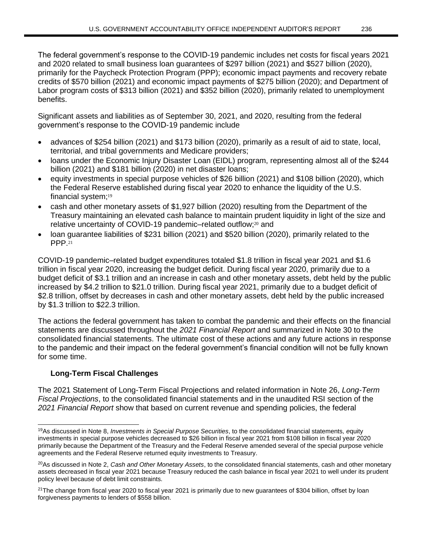The federal government's response to the COVID-19 pandemic includes net costs for fiscal years 2021 and 2020 related to small business loan guarantees of \$297 billion (2021) and \$527 billion (2020), primarily for the Paycheck Protection Program (PPP); economic impact payments and recovery rebate credits of \$570 billion (2021) and economic impact payments of \$275 billion (2020); and Department of Labor program costs of \$313 billion (2021) and \$352 billion (2020), primarily related to unemployment benefits.

Significant assets and liabilities as of September 30, 2021, and 2020, resulting from the federal government's response to the COVID-19 pandemic include

- advances of \$254 billion (2021) and \$173 billion (2020), primarily as a result of aid to state, local, territorial, and tribal governments and Medicare providers;
- loans under the Economic Injury Disaster Loan (EIDL) program, representing almost all of the \$244 billion (2021) and \$181 billion (2020) in net disaster loans;
- equity investments in special purpose vehicles of \$26 billion (2021) and \$108 billion (2020), which the Federal Reserve established during fiscal year 2020 to enhance the liquidity of the U.S. financial system;<sup>19</sup>
- cash and other monetary assets of \$1,927 billion (2020) resulting from the Department of the Treasury maintaining an elevated cash balance to maintain prudent liquidity in light of the size and relative uncertainty of COVID-19 pandemic-related outflow;<sup>20</sup> and
- loan guarantee liabilities of \$231 billion (2021) and \$520 billion (2020), primarily related to the PPP.<sup>21</sup>

COVID-19 pandemic–related budget expenditures totaled \$1.8 trillion in fiscal year 2021 and \$1.6 trillion in fiscal year 2020, increasing the budget deficit. During fiscal year 2020, primarily due to a budget deficit of \$3.1 trillion and an increase in cash and other monetary assets, debt held by the public increased by \$4.2 trillion to \$21.0 trillion. During fiscal year 2021, primarily due to a budget deficit of \$2.8 trillion, offset by decreases in cash and other monetary assets, debt held by the public increased by \$1.3 trillion to \$22.3 trillion.

The actions the federal government has taken to combat the pandemic and their effects on the financial statements are discussed throughout the *2021 Financial Report* and summarized in Note 30 to the consolidated financial statements. The ultimate cost of these actions and any future actions in response to the pandemic and their impact on the federal government's financial condition will not be fully known for some time.

# **Long-Term Fiscal Challenges**

The 2021 Statement of Long-Term Fiscal Projections and related information in Note 26, *Long-Term Fiscal Projections*, to the consolidated financial statements and in the unaudited RSI section of the *2021 Financial Report* show that based on current revenue and spending policies, the federal

<sup>19</sup>As discussed in Note 8, *Investments in Special Purpose Securities*, to the consolidated financial statements*, e*quity investments in special purpose vehicles decreased to \$26 billion in fiscal year 2021 from \$108 billion in fiscal year 2020 primarily because the Department of the Treasury and the Federal Reserve amended several of the special purpose vehicle agreements and the Federal Reserve returned equity investments to Treasury.

<sup>20</sup>As discussed in Note 2, *Cash and Other Monetary Assets*, to the consolidated financial statements, cash and other monetary assets decreased in fiscal year 2021 because Treasury reduced the cash balance in fiscal year 2021 to well under its prudent policy level because of debt limit constraints.

 $21$ The change from fiscal year 2020 to fiscal year 2021 is primarily due to new guarantees of \$304 billion, offset by loan forgiveness payments to lenders of \$558 billion.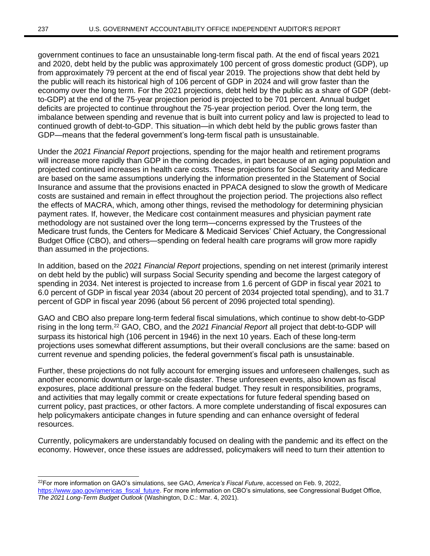government continues to face an unsustainable long-term fiscal path. At the end of fiscal years 2021 and 2020, debt held by the public was approximately 100 percent of gross domestic product (GDP), up from approximately 79 percent at the end of fiscal year 2019. The projections show that debt held by the public will reach its historical high of 106 percent of GDP in 2024 and will grow faster than the economy over the long term. For the 2021 projections, debt held by the public as a share of GDP (debtto-GDP) at the end of the 75-year projection period is projected to be 701 percent. Annual budget deficits are projected to continue throughout the 75-year projection period. Over the long term, the imbalance between spending and revenue that is built into current policy and law is projected to lead to continued growth of debt-to-GDP. This situation—in which debt held by the public grows faster than GDP—means that the federal government's long-term fiscal path is unsustainable.

Under the *2021 Financial Report* projections, spending for the major health and retirement programs will increase more rapidly than GDP in the coming decades, in part because of an aging population and projected continued increases in health care costs. These projections for Social Security and Medicare are based on the same assumptions underlying the information presented in the Statement of Social Insurance and assume that the provisions enacted in PPACA designed to slow the growth of Medicare costs are sustained and remain in effect throughout the projection period. The projections also reflect the effects of MACRA, which, among other things, revised the methodology for determining physician payment rates. If, however, the Medicare cost containment measures and physician payment rate methodology are not sustained over the long term—concerns expressed by the Trustees of the Medicare trust funds, the Centers for Medicare & Medicaid Services' Chief Actuary, the Congressional Budget Office (CBO), and others—spending on federal health care programs will grow more rapidly than assumed in the projections.

In addition, based on the *2021 Financial Report* projections, spending on net interest (primarily interest on debt held by the public) will surpass Social Security spending and become the largest category of spending in 2034. Net interest is projected to increase from 1.6 percent of GDP in fiscal year 2021 to 6.0 percent of GDP in fiscal year 2034 (about 20 percent of 2034 projected total spending), and to 31.7 percent of GDP in fiscal year 2096 (about 56 percent of 2096 projected total spending).

GAO and CBO also prepare long-term federal fiscal simulations, which continue to show debt-to-GDP rising in the long term.<sup>22</sup> GAO, CBO, and the *2021 Financial Report* all project that debt-to-GDP will surpass its historical high (106 percent in 1946) in the next 10 years. Each of these long-term projections uses somewhat different assumptions, but their overall conclusions are the same: based on current revenue and spending policies, the federal government's fiscal path is unsustainable.

Further, these projections do not fully account for emerging issues and unforeseen challenges, such as another economic downturn or large-scale disaster. These unforeseen events, also known as fiscal exposures, place additional pressure on the federal budget. They result in responsibilities, programs, and activities that may legally commit or create expectations for future federal spending based on current policy, past practices, or other factors. A more complete understanding of fiscal exposures can help policymakers anticipate changes in future spending and can enhance oversight of federal resources.

Currently, policymakers are understandably focused on dealing with the pandemic and its effect on the economy. However, once these issues are addressed, policymakers will need to turn their attention to

<sup>22</sup>For more information on GAO's simulations, see GAO, *America's Fiscal Future*, accessed on Feb. 9, 2022, [https://www.gao.gov/americas\\_fiscal\\_future.](https://www.gao.gov/americas_fiscal_future) For more information on CBO's simulations, see Congressional Budget Office, *The 2021 Long-Term Budget Outlook* (Washington, D.C.: Mar. 4, 2021).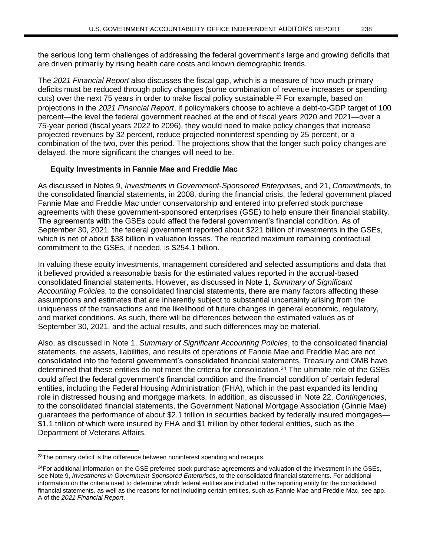the serious long term challenges of addressing the federal government's large and growing deficits that are driven primarily by rising health care costs and known demographic trends.

The *2021 Financial Report* also discusses the fiscal gap, which is a measure of how much primary deficits must be reduced through policy changes (some combination of revenue increases or spending cuts) over the next 75 years in order to make fiscal policy sustainable.<sup>23</sup> For example, based on projections in the *2021 Financial Report*, if policymakers choose to achieve a debt-to-GDP target of 100 percent—the level the federal government reached at the end of fiscal years 2020 and 2021—over a 75-year period (fiscal years 2022 to 2096), they would need to make policy changes that increase projected revenues by 32 percent, reduce projected noninterest spending by 25 percent, or a combination of the two, over this period. The projections show that the longer such policy changes are delayed, the more significant the changes will need to be.

## **Equity Investments in Fannie Mae and Freddie Mac**

As discussed in Notes 9, *Investments in Government-Sponsored Enterprises*, and 21, *Commitments*, to the consolidated financial statements, in 2008, during the financial crisis, the federal government placed Fannie Mae and Freddie Mac under conservatorship and entered into preferred stock purchase agreements with these government-sponsored enterprises (GSE) to help ensure their financial stability. The agreements with the GSEs could affect the federal government's financial condition. As of September 30, 2021, the federal government reported about \$221 billion of investments in the GSEs, which is net of about \$38 billion in valuation losses. The reported maximum remaining contractual commitment to the GSEs, if needed, is \$254.1 billion.

In valuing these equity investments, management considered and selected assumptions and data that it believed provided a reasonable basis for the estimated values reported in the accrual-based consolidated financial statements. However, as discussed in Note 1, *Summary of Significant Accounting Policies*, to the consolidated financial statements, there are many factors affecting these assumptions and estimates that are inherently subject to substantial uncertainty arising from the uniqueness of the transactions and the likelihood of future changes in general economic, regulatory, and market conditions. As such, there will be differences between the estimated values as of September 30, 2021, and the actual results, and such differences may be material.

Also, as discussed in Note 1, *Summary of Significant Accounting Policies*, to the consolidated financial statements, the assets, liabilities, and results of operations of Fannie Mae and Freddie Mac are not consolidated into the federal government's consolidated financial statements. Treasury and OMB have determined that these entities do not meet the criteria for consolidation.<sup>24</sup> The ultimate role of the GSEs could affect the federal government's financial condition and the financial condition of certain federal entities, including the Federal Housing Administration (FHA), which in the past expanded its lending role in distressed housing and mortgage markets. In addition, as discussed in Note 22, *Contingencies*, to the consolidated financial statements, the Government National Mortgage Association (Ginnie Mae) guarantees the performance of about \$2.1 trillion in securities backed by federally insured mortgages— \$1.1 trillion of which were insured by FHA and \$1 trillion by other federal entities, such as the Department of Veterans Affairs.

 $23$ The primary deficit is the difference between noninterest spending and receipts.

 $24$ For additional information on the GSE preferred stock purchase agreements and valuation of the investment in the GSEs, see Note 9, *Investments in Government-Sponsored Enterprises*, to the consolidated financial statements. For additional information on the criteria used to determine which federal entities are included in the reporting entity for the consolidated financial statements, as well as the reasons for not including certain entities, such as Fannie Mae and Freddie Mac, see app. A of the *2021 Financial Report*.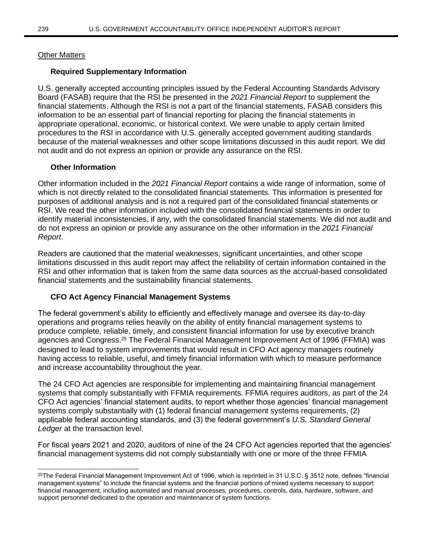## Other Matters

## **Required Supplementary Information**

U.S. generally accepted accounting principles issued by the Federal Accounting Standards Advisory Board (FASAB) require that the RSI be presented in the *2021 Financial Report* to supplement the financial statements. Although the RSI is not a part of the financial statements, FASAB considers this information to be an essential part of financial reporting for placing the financial statements in appropriate operational, economic, or historical context. We were unable to apply certain limited procedures to the RSI in accordance with U.S. generally accepted government auditing standards because of the material weaknesses and other scope limitations discussed in this audit report. We did not audit and do not express an opinion or provide any assurance on the RSI.

## **Other Information**

Other information included in the *2021 Financial Report* contains a wide range of information, some of which is not directly related to the consolidated financial statements. This information is presented for purposes of additional analysis and is not a required part of the consolidated financial statements or RSI. We read the other information included with the consolidated financial statements in order to identify material inconsistencies, if any, with the consolidated financial statements. We did not audit and do not express an opinion or provide any assurance on the other information in the *2021 Financial Report*.

Readers are cautioned that the material weaknesses, significant uncertainties, and other scope limitations discussed in this audit report may affect the reliability of certain information contained in the RSI and other information that is taken from the same data sources as the accrual-based consolidated financial statements and the sustainability financial statements.

# **CFO Act Agency Financial Management Systems**

The federal government's ability to efficiently and effectively manage and oversee its day-to-day operations and programs relies heavily on the ability of entity financial management systems to produce complete, reliable, timely, and consistent financial information for use by executive branch agencies and Congress.<sup>25</sup> The Federal Financial Management Improvement Act of 1996 (FFMIA) was designed to lead to system improvements that would result in CFO Act agency managers routinely having access to reliable, useful, and timely financial information with which to measure performance and increase accountability throughout the year.

The 24 CFO Act agencies are responsible for implementing and maintaining financial management systems that comply substantially with FFMIA requirements. FFMIA requires auditors, as part of the 24 CFO Act agencies' financial statement audits, to report whether those agencies' financial management systems comply substantially with (1) federal financial management systems requirements, (2) applicable federal accounting standards, and (3) the federal government's *U.S. Standard General Ledger* at the transaction level.

For fiscal years 2021 and 2020, auditors of nine of the 24 CFO Act agencies reported that the agencies' financial management systems did not comply substantially with one or more of the three FFMIA

<sup>25</sup>The Federal Financial Management Improvement Act of 1996, which is reprinted in 31 U.S.C. § 3512 note, defines "financial management systems" to include the financial systems and the financial portions of mixed systems necessary to support financial management, including automated and manual processes, procedures, controls, data, hardware, software, and support personnel dedicated to the operation and maintenance of system functions.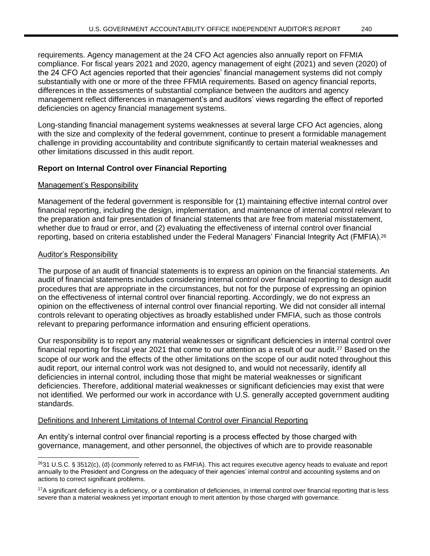requirements. Agency management at the 24 CFO Act agencies also annually report on FFMIA compliance. For fiscal years 2021 and 2020, agency management of eight (2021) and seven (2020) of the 24 CFO Act agencies reported that their agencies' financial management systems did not comply substantially with one or more of the three FFMIA requirements. Based on agency financial reports, differences in the assessments of substantial compliance between the auditors and agency management reflect differences in management's and auditors' views regarding the effect of reported deficiencies on agency financial management systems.

Long-standing financial management systems weaknesses at several large CFO Act agencies, along with the size and complexity of the federal government, continue to present a formidable management challenge in providing accountability and contribute significantly to certain material weaknesses and other limitations discussed in this audit report.

### **Report on Internal Control over Financial Reporting**

#### Management's Responsibility

Management of the federal government is responsible for (1) maintaining effective internal control over financial reporting, including the design, implementation, and maintenance of internal control relevant to the preparation and fair presentation of financial statements that are free from material misstatement, whether due to fraud or error, and (2) evaluating the effectiveness of internal control over financial reporting, based on criteria established under the Federal Managers' Financial Integrity Act (FMFIA).<sup>26</sup>

#### Auditor's Responsibility

The purpose of an audit of financial statements is to express an opinion on the financial statements. An audit of financial statements includes considering internal control over financial reporting to design audit procedures that are appropriate in the circumstances, but not for the purpose of expressing an opinion on the effectiveness of internal control over financial reporting. Accordingly, we do not express an opinion on the effectiveness of internal control over financial reporting. We did not consider all internal controls relevant to operating objectives as broadly established under FMFIA, such as those controls relevant to preparing performance information and ensuring efficient operations.

Our responsibility is to report any material weaknesses or significant deficiencies in internal control over financial reporting for fiscal year 2021 that come to our attention as a result of our audit.<sup>27</sup> Based on the scope of our work and the effects of the other limitations on the scope of our audit noted throughout this audit report, our internal control work was not designed to, and would not necessarily, identify all deficiencies in internal control, including those that might be material weaknesses or significant deficiencies. Therefore, additional material weaknesses or significant deficiencies may exist that were not identified. We performed our work in accordance with U.S. generally accepted government auditing standards.

#### Definitions and Inherent Limitations of Internal Control over Financial Reporting

An entity's internal control over financial reporting is a process effected by those charged with governance, management, and other personnel, the objectives of which are to provide reasonable

 $2631$  U.S.C. § 3512(c), (d) (commonly referred to as FMFIA). This act requires executive agency heads to evaluate and report annually to the President and Congress on the adequacy of their agencies' internal control and accounting systems and on actions to correct significant problems.

<sup>&</sup>lt;sup>27</sup>A significant deficiency is a deficiency, or a combination of deficiencies, in internal control over financial reporting that is less severe than a material weakness yet important enough to merit attention by those charged with governance.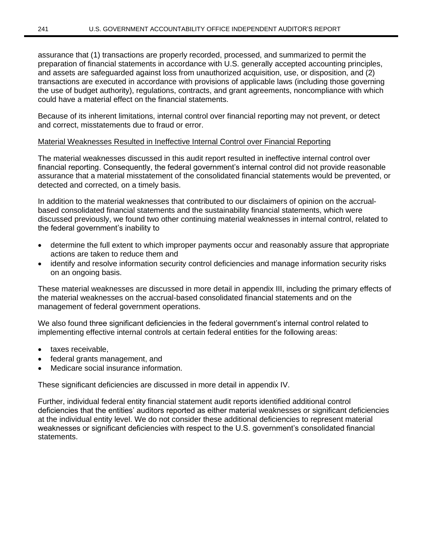assurance that (1) transactions are properly recorded, processed, and summarized to permit the preparation of financial statements in accordance with U.S. generally accepted accounting principles, and assets are safeguarded against loss from unauthorized acquisition, use, or disposition, and (2) transactions are executed in accordance with provisions of applicable laws (including those governing the use of budget authority), regulations, contracts, and grant agreements, noncompliance with which could have a material effect on the financial statements.

Because of its inherent limitations, internal control over financial reporting may not prevent, or detect and correct, misstatements due to fraud or error.

## Material Weaknesses Resulted in Ineffective Internal Control over Financial Reporting

The material weaknesses discussed in this audit report resulted in ineffective internal control over financial reporting. Consequently, the federal government's internal control did not provide reasonable assurance that a material misstatement of the consolidated financial statements would be prevented, or detected and corrected, on a timely basis.

In addition to the material weaknesses that contributed to our disclaimers of opinion on the accrualbased consolidated financial statements and the sustainability financial statements, which were discussed previously, we found two other continuing material weaknesses in internal control, related to the federal government's inability to

- determine the full extent to which improper payments occur and reasonably assure that appropriate actions are taken to reduce them and
- identify and resolve information security control deficiencies and manage information security risks on an ongoing basis.

These material weaknesses are discussed in more detail in appendix III, including the primary effects of the material weaknesses on the accrual-based consolidated financial statements and on the management of federal government operations.

We also found three significant deficiencies in the federal government's internal control related to implementing effective internal controls at certain federal entities for the following areas:

- taxes receivable,
- federal grants management, and
- Medicare social insurance information.

These significant deficiencies are discussed in more detail in appendix IV.

Further, individual federal entity financial statement audit reports identified additional control deficiencies that the entities' auditors reported as either material weaknesses or significant deficiencies at the individual entity level. We do not consider these additional deficiencies to represent material weaknesses or significant deficiencies with respect to the U.S. government's consolidated financial statements.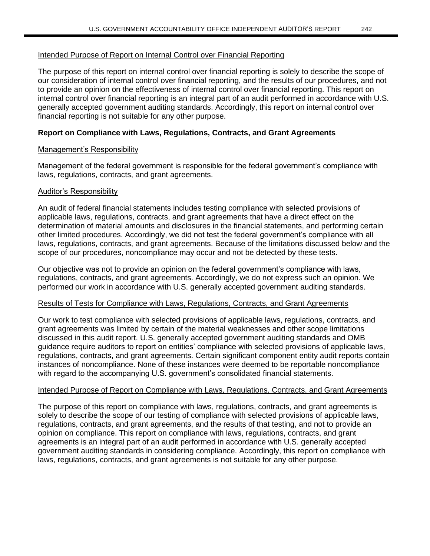### Intended Purpose of Report on Internal Control over Financial Reporting

The purpose of this report on internal control over financial reporting is solely to describe the scope of our consideration of internal control over financial reporting, and the results of our procedures, and not to provide an opinion on the effectiveness of internal control over financial reporting. This report on internal control over financial reporting is an integral part of an audit performed in accordance with U.S. generally accepted government auditing standards. Accordingly, this report on internal control over financial reporting is not suitable for any other purpose.

### **Report on Compliance with Laws, Regulations, Contracts, and Grant Agreements**

#### Management's Responsibility

Management of the federal government is responsible for the federal government's compliance with laws, regulations, contracts, and grant agreements.

#### Auditor's Responsibility

An audit of federal financial statements includes testing compliance with selected provisions of applicable laws, regulations, contracts, and grant agreements that have a direct effect on the determination of material amounts and disclosures in the financial statements, and performing certain other limited procedures. Accordingly, we did not test the federal government's compliance with all laws, regulations, contracts, and grant agreements. Because of the limitations discussed below and the scope of our procedures, noncompliance may occur and not be detected by these tests.

Our objective was not to provide an opinion on the federal government's compliance with laws, regulations, contracts, and grant agreements. Accordingly, we do not express such an opinion. We performed our work in accordance with U.S. generally accepted government auditing standards.

#### Results of Tests for Compliance with Laws, Regulations, Contracts, and Grant Agreements

Our work to test compliance with selected provisions of applicable laws, regulations, contracts, and grant agreements was limited by certain of the material weaknesses and other scope limitations discussed in this audit report. U.S. generally accepted government auditing standards and OMB guidance require auditors to report on entities' compliance with selected provisions of applicable laws, regulations, contracts, and grant agreements. Certain significant component entity audit reports contain instances of noncompliance. None of these instances were deemed to be reportable noncompliance with regard to the accompanying U.S. government's consolidated financial statements.

## Intended Purpose of Report on Compliance with Laws, Regulations, Contracts, and Grant Agreements

The purpose of this report on compliance with laws, regulations, contracts, and grant agreements is solely to describe the scope of our testing of compliance with selected provisions of applicable laws, regulations, contracts, and grant agreements, and the results of that testing, and not to provide an opinion on compliance. This report on compliance with laws, regulations, contracts, and grant agreements is an integral part of an audit performed in accordance with U.S. generally accepted government auditing standards in considering compliance. Accordingly, this report on compliance with laws, regulations, contracts, and grant agreements is not suitable for any other purpose.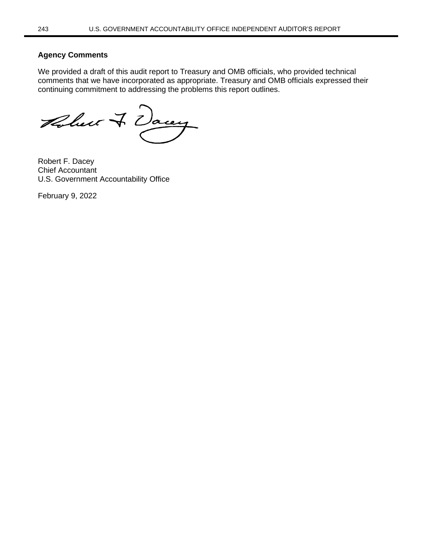#### **Agency Comments**

We provided a draft of this audit report to Treasury and OMB officials, who provided technical comments that we have incorporated as appropriate. Treasury and OMB officials expressed their continuing commitment to addressing the problems this report outlines.

Robert & Dacey

Robert F. Dacey Chief Accountant U.S. Government Accountability Office

February 9, 2022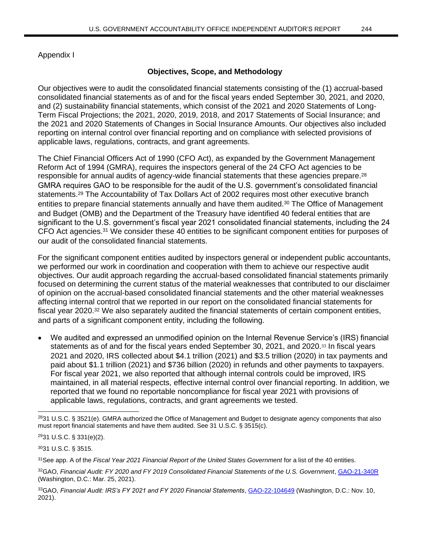Appendix I

## **Objectives, Scope, and Methodology**

Our objectives were to audit the consolidated financial statements consisting of the (1) accrual-based consolidated financial statements as of and for the fiscal years ended September 30, 2021, and 2020, and (2) sustainability financial statements, which consist of the 2021 and 2020 Statements of Long-Term Fiscal Projections; the 2021, 2020, 2019, 2018, and 2017 Statements of Social Insurance; and the 2021 and 2020 Statements of Changes in Social Insurance Amounts. Our objectives also included reporting on internal control over financial reporting and on compliance with selected provisions of applicable laws, regulations, contracts, and grant agreements.

The Chief Financial Officers Act of 1990 (CFO Act), as expanded by the Government Management Reform Act of 1994 (GMRA), requires the inspectors general of the 24 CFO Act agencies to be responsible for annual audits of agency-wide financial statements that these agencies prepare.<sup>28</sup> GMRA requires GAO to be responsible for the audit of the U.S. government's consolidated financial statements.<sup>29</sup> The Accountability of Tax Dollars Act of 2002 requires most other executive branch entities to prepare financial statements annually and have them audited.<sup>30</sup> The Office of Management and Budget (OMB) and the Department of the Treasury have identified 40 federal entities that are significant to the U.S. government's fiscal year 2021 consolidated financial statements, including the 24 CFO Act agencies.<sup>31</sup> We consider these 40 entities to be significant component entities for purposes of our audit of the consolidated financial statements.

For the significant component entities audited by inspectors general or independent public accountants, we performed our work in coordination and cooperation with them to achieve our respective audit objectives. Our audit approach regarding the accrual-based consolidated financial statements primarily focused on determining the current status of the material weaknesses that contributed to our disclaimer of opinion on the accrual-based consolidated financial statements and the other material weaknesses affecting internal control that we reported in our report on the consolidated financial statements for fiscal year 2020.<sup>32</sup> We also separately audited the financial statements of certain component entities, and parts of a significant component entity, including the following.

• We audited and expressed an unmodified opinion on the Internal Revenue Service's (IRS) financial statements as of and for the fiscal years ended September 30, 2021, and 2020.<sup>33</sup> In fiscal years 2021 and 2020, IRS collected about \$4.1 trillion (2021) and \$3.5 trillion (2020) in tax payments and paid about \$1.1 trillion (2021) and \$736 billion (2020) in refunds and other payments to taxpayers. For fiscal year 2021, we also reported that although internal controls could be improved, IRS maintained, in all material respects, effective internal control over financial reporting. In addition, we reported that we found no reportable noncompliance for fiscal year 2021 with provisions of applicable laws, regulations, contracts, and grant agreements we tested.

<sup>28</sup>31 U.S.C. § 3521(e). GMRA authorized the Office of Management and Budget to designate agency components that also must report financial statements and have them audited. See 31 U.S.C. § 3515(c).

<sup>29</sup>31 U.S.C. § 331(e)(2).

<sup>30</sup>31 U.S.C. § 3515.

<sup>31</sup>See app. A of the *Fiscal Year 2021 Financial Report of the United States Government* for a list of the 40 entities.

<sup>32</sup>GAO, *Financial Audit: FY 2020 and FY 2019 Consolidated Financial Statements of the U.S. Government*[, GAO-21-340R](https://www.gao.gov/products/gao-21-340r) (Washington, D.C.: Mar. 25, 2021).

<sup>33</sup>GAO, Financial Audit: IRS's FY 2021 and FY 2020 Financial Statements, **GAO-22-104649** (Washington, D.C.: Nov. 10, 2021).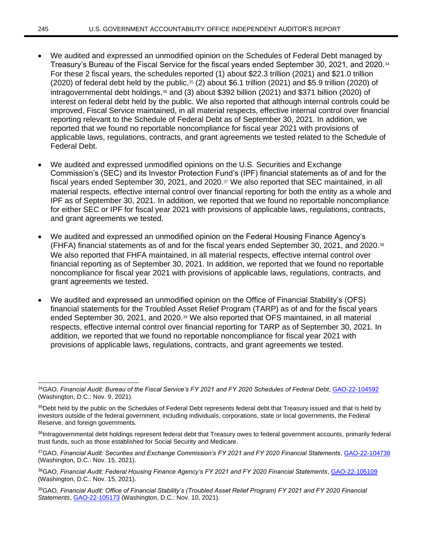- We audited and expressed an unmodified opinion on the Schedules of Federal Debt managed by Treasury's Bureau of the Fiscal Service for the fiscal years ended September 30, 2021, and 2020.<sup>34</sup> For these 2 fiscal years, the schedules reported (1) about \$22.3 trillion (2021) and \$21.0 trillion (2020) of federal debt held by the public, $35$  (2) about \$6.1 trillion (2021) and \$5.9 trillion (2020) of intragovernmental debt holdings,<sup>36</sup> and (3) about \$392 billion (2021) and \$371 billion (2020) of interest on federal debt held by the public. We also reported that although internal controls could be improved, Fiscal Service maintained, in all material respects, effective internal control over financial reporting relevant to the Schedule of Federal Debt as of September 30, 2021. In addition, we reported that we found no reportable noncompliance for fiscal year 2021 with provisions of applicable laws, regulations, contracts, and grant agreements we tested related to the Schedule of Federal Debt.
- We audited and expressed unmodified opinions on the U.S. Securities and Exchange Commission's (SEC) and its Investor Protection Fund's (IPF) financial statements as of and for the fiscal years ended September 30, 2021, and 2020.<sup>37</sup> We also reported that SEC maintained, in all material respects, effective internal control over financial reporting for both the entity as a whole and IPF as of September 30, 2021. In addition, we reported that we found no reportable noncompliance for either SEC or IPF for fiscal year 2021 with provisions of applicable laws, regulations, contracts, and grant agreements we tested.
- We audited and expressed an unmodified opinion on the Federal Housing Finance Agency's (FHFA) financial statements as of and for the fiscal years ended September 30, 2021, and 2020.<sup>38</sup> We also reported that FHFA maintained, in all material respects, effective internal control over financial reporting as of September 30, 2021. In addition, we reported that we found no reportable noncompliance for fiscal year 2021 with provisions of applicable laws, regulations, contracts, and grant agreements we tested.
- We audited and expressed an unmodified opinion on the Office of Financial Stability's (OFS) financial statements for the Troubled Asset Relief Program (TARP) as of and for the fiscal years ended September 30, 2021, and 2020.<sup>39</sup> We also reported that OFS maintained, in all material respects, effective internal control over financial reporting for TARP as of September 30, 2021. In addition, we reported that we found no reportable noncompliance for fiscal year 2021 with provisions of applicable laws, regulations, contracts, and grant agreements we tested.

<sup>34</sup>GAO, *Financial Audit: Bureau of the Fiscal Service's FY 2021 and FY 2020 Schedules of Federal Debt*[, GAO-22-104592](https://www.gao.gov/products/gao-22-104592) (Washington, D.C.: Nov. 9, 2021).

<sup>&</sup>lt;sup>35</sup>Debt held by the public on the Schedules of Federal Debt represents federal debt that Treasury issued and that is held by investors outside of the federal government, including individuals, corporations, state or local governments, the Federal Reserve, and foreign governments.

<sup>36</sup>Intragovernmental debt holdings represent federal debt that Treasury owes to federal government accounts, primarily federal trust funds, such as those established for Social Security and Medicare.

<sup>37</sup>GAO, *Financial Audit: Securities and Exchange Commission's FY 2021 and FY 2020 Financial Statements*, [GAO-22-104738](https://www.gao.gov/products/gao-22-104738) (Washington, D.C.: Nov. 15, 2021).

<sup>38</sup>GAO, *Financial Audit: Federal Housing Finance Agency's FY 2021 and FY 2020 Financial Statements*[, GAO-22-105109](https://www.gao.gov/products/gao-22-105109) (Washington, D.C.: Nov. 15, 2021).

<sup>39</sup>GAO, *Financial Audit: Office of Financial Stability's (Troubled Asset Relief Program) FY 2021 and FY 2020 Financial Statements*[, GAO-22-105173](https://www.gao.gov/products/gao-22-105173) (Washington, D.C.: Nov. 10, 2021).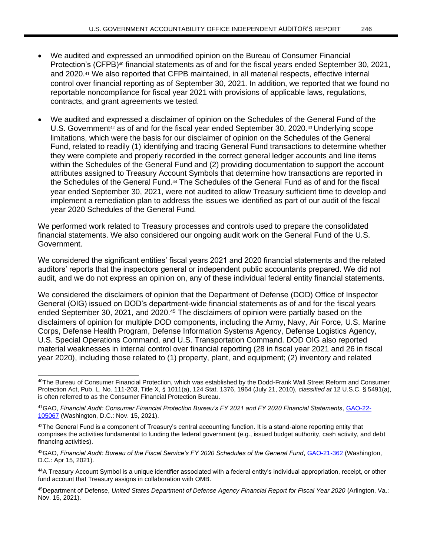- We audited and expressed an unmodified opinion on the Bureau of Consumer Financial Protection's (CFPB)<sup>40</sup> financial statements as of and for the fiscal years ended September 30, 2021, and 2020.<sup>41</sup> We also reported that CFPB maintained, in all material respects, effective internal control over financial reporting as of September 30, 2021. In addition, we reported that we found no reportable noncompliance for fiscal year 2021 with provisions of applicable laws, regulations, contracts, and grant agreements we tested.
- We audited and expressed a disclaimer of opinion on the Schedules of the General Fund of the U.S. Government<sup>42</sup> as of and for the fiscal year ended September 30, 2020.<sup>43</sup> Underlying scope limitations, which were the basis for our disclaimer of opinion on the Schedules of the General Fund, related to readily (1) identifying and tracing General Fund transactions to determine whether they were complete and properly recorded in the correct general ledger accounts and line items within the Schedules of the General Fund and (2) providing documentation to support the account attributes assigned to Treasury Account Symbols that determine how transactions are reported in the Schedules of the General Fund.<sup>44</sup> The Schedules of the General Fund as of and for the fiscal year ended September 30, 2021, were not audited to allow Treasury sufficient time to develop and implement a remediation plan to address the issues we identified as part of our audit of the fiscal year 2020 Schedules of the General Fund.

We performed work related to Treasury processes and controls used to prepare the consolidated financial statements. We also considered our ongoing audit work on the General Fund of the U.S. Government.

We considered the significant entities' fiscal years 2021 and 2020 financial statements and the related auditors' reports that the inspectors general or independent public accountants prepared. We did not audit, and we do not express an opinion on, any of these individual federal entity financial statements.

We considered the disclaimers of opinion that the Department of Defense (DOD) Office of Inspector General (OIG) issued on DOD's department-wide financial statements as of and for the fiscal years ended September 30, 2021, and 2020.<sup>45</sup> The disclaimers of opinion were partially based on the disclaimers of opinion for multiple DOD components, including the Army, Navy, Air Force, U.S. Marine Corps, Defense Health Program, Defense Information Systems Agency, Defense Logistics Agency, U.S. Special Operations Command, and U.S. Transportation Command. DOD OIG also reported material weaknesses in internal control over financial reporting (28 in fiscal year 2021 and 26 in fiscal year 2020), including those related to (1) property, plant, and equipment; (2) inventory and related

<sup>40</sup>The Bureau of Consumer Financial Protection, which was established by the Dodd-Frank Wall Street Reform and Consumer Protection Act, Pub. L. No. 111-203, Title X, § 1011(a), 124 Stat. 1376, 1964 (July 21, 2010), *classified at* 12 U.S.C. § 5491(a), is often referred to as the Consumer Financial Protection Bureau.

<sup>41</sup>GAO, *Financial Audit: Consumer Financial Protection Bureau's FY 2021 and FY 2020 Financial Statements*, [GAO-22-](https://www.gao.gov/products/gao-22-105067) [105067](https://www.gao.gov/products/gao-22-105067) (Washington, D.C.: Nov. 15, 2021).

 $42$ The General Fund is a component of Treasury's central accounting function. It is a stand-alone reporting entity that comprises the activities fundamental to funding the federal government (e.g., issued budget authority, cash activity, and debt financing activities).

<sup>43</sup>GAO, *Financial Audit: Bureau of the Fiscal Service's FY 2020 Schedules of the General Fund*[, GAO-21-362](https://www.gao.gov/products/gao-21-362) (Washington, D.C.: Apr 15, 2021).

<sup>44</sup>A Treasury Account Symbol is a unique identifier associated with a federal entity's individual appropriation, receipt, or other fund account that Treasury assigns in collaboration with OMB.

<sup>45</sup>Department of Defense, *United States Department of Defense Agency Financial Report for Fiscal Year 2020* (Arlington, Va.: Nov. 15, 2021).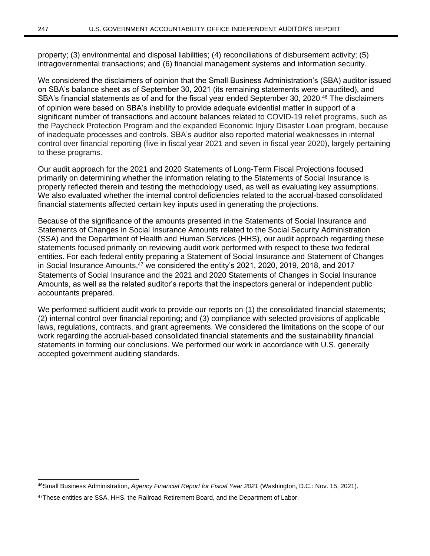property; (3) environmental and disposal liabilities; (4) reconciliations of disbursement activity; (5) intragovernmental transactions; and (6) financial management systems and information security.

We considered the disclaimers of opinion that the Small Business Administration's (SBA) auditor issued on SBA's balance sheet as of September 30, 2021 (its remaining statements were unaudited), and SBA's financial statements as of and for the fiscal year ended September 30, 2020.<sup>46</sup> The disclaimers of opinion were based on SBA's inability to provide adequate evidential matter in support of a significant number of transactions and account balances related to COVID-19 relief programs, such as the Paycheck Protection Program and the expanded Economic Injury Disaster Loan program, because of inadequate processes and controls. SBA's auditor also reported material weaknesses in internal control over financial reporting (five in fiscal year 2021 and seven in fiscal year 2020), largely pertaining to these programs.

Our audit approach for the 2021 and 2020 Statements of Long-Term Fiscal Projections focused primarily on determining whether the information relating to the Statements of Social Insurance is properly reflected therein and testing the methodology used, as well as evaluating key assumptions. We also evaluated whether the internal control deficiencies related to the accrual-based consolidated financial statements affected certain key inputs used in generating the projections.

Because of the significance of the amounts presented in the Statements of Social Insurance and Statements of Changes in Social Insurance Amounts related to the Social Security Administration (SSA) and the Department of Health and Human Services (HHS), our audit approach regarding these statements focused primarily on reviewing audit work performed with respect to these two federal entities. For each federal entity preparing a Statement of Social Insurance and Statement of Changes in Social Insurance Amounts,<sup>47</sup> we considered the entity's 2021, 2020, 2019, 2018, and 2017 Statements of Social Insurance and the 2021 and 2020 Statements of Changes in Social Insurance Amounts, as well as the related auditor's reports that the inspectors general or independent public accountants prepared.

We performed sufficient audit work to provide our reports on (1) the consolidated financial statements; (2) internal control over financial reporting; and (3) compliance with selected provisions of applicable laws, regulations, contracts, and grant agreements. We considered the limitations on the scope of our work regarding the accrual-based consolidated financial statements and the sustainability financial statements in forming our conclusions. We performed our work in accordance with U.S. generally accepted government auditing standards.

<sup>46</sup>Small Business Administration, *Agency Financial Report for Fiscal Year 2021* (Washington, D.C.: Nov. 15, 2021).

<sup>47</sup>These entities are SSA, HHS, the Railroad Retirement Board, and the Department of Labor.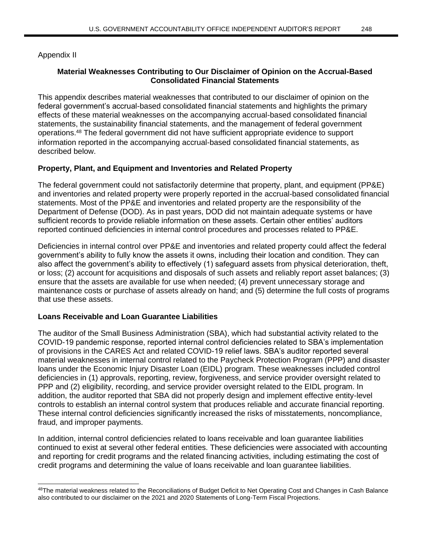Appendix II

## **Material Weaknesses Contributing to Our Disclaimer of Opinion on the Accrual-Based Consolidated Financial Statements**

This appendix describes material weaknesses that contributed to our disclaimer of opinion on the federal government's accrual-based consolidated financial statements and highlights the primary effects of these material weaknesses on the accompanying accrual-based consolidated financial statements, the sustainability financial statements, and the management of federal government operations.<sup>48</sup> The federal government did not have sufficient appropriate evidence to support information reported in the accompanying accrual-based consolidated financial statements, as described below.

## **Property, Plant, and Equipment and Inventories and Related Property**

The federal government could not satisfactorily determine that property, plant, and equipment (PP&E) and inventories and related property were properly reported in the accrual-based consolidated financial statements. Most of the PP&E and inventories and related property are the responsibility of the Department of Defense (DOD). As in past years, DOD did not maintain adequate systems or have sufficient records to provide reliable information on these assets. Certain other entities' auditors reported continued deficiencies in internal control procedures and processes related to PP&E.

Deficiencies in internal control over PP&E and inventories and related property could affect the federal government's ability to fully know the assets it owns, including their location and condition. They can also affect the government's ability to effectively (1) safeguard assets from physical deterioration, theft, or loss; (2) account for acquisitions and disposals of such assets and reliably report asset balances; (3) ensure that the assets are available for use when needed; (4) prevent unnecessary storage and maintenance costs or purchase of assets already on hand; and (5) determine the full costs of programs that use these assets.

## **Loans Receivable and Loan Guarantee Liabilities**

The auditor of the Small Business Administration (SBA), which had substantial activity related to the COVID-19 pandemic response, reported internal control deficiencies related to SBA's implementation of provisions in the CARES Act and related COVID-19 relief laws. SBA's auditor reported several material weaknesses in internal control related to the Paycheck Protection Program (PPP) and disaster loans under the Economic Injury Disaster Loan (EIDL) program. These weaknesses included control deficiencies in (1) approvals, reporting, review, forgiveness, and service provider oversight related to PPP and (2) eligibility, recording, and service provider oversight related to the EIDL program. In addition, the auditor reported that SBA did not properly design and implement effective entity-level controls to establish an internal control system that produces reliable and accurate financial reporting. These internal control deficiencies significantly increased the risks of misstatements, noncompliance, fraud, and improper payments.

In addition, internal control deficiencies related to loans receivable and loan guarantee liabilities continued to exist at several other federal entities. These deficiencies were associated with accounting and reporting for credit programs and the related financing activities, including estimating the cost of credit programs and determining the value of loans receivable and loan guarantee liabilities.

<sup>48</sup>The material weakness related to the Reconciliations of Budget Deficit to Net Operating Cost and Changes in Cash Balance also contributed to our disclaimer on the 2021 and 2020 Statements of Long-Term Fiscal Projections.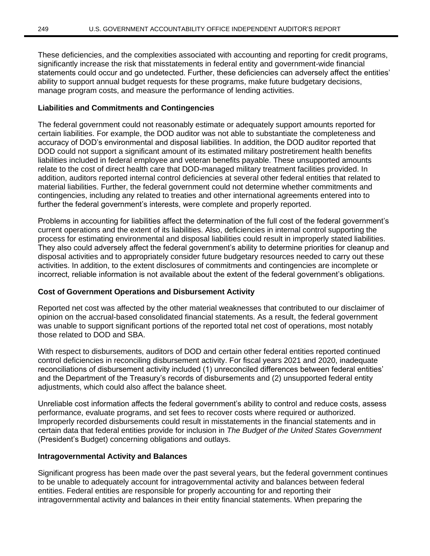These deficiencies, and the complexities associated with accounting and reporting for credit programs, significantly increase the risk that misstatements in federal entity and government-wide financial statements could occur and go undetected. Further, these deficiencies can adversely affect the entities' ability to support annual budget requests for these programs, make future budgetary decisions, manage program costs, and measure the performance of lending activities.

## **Liabilities and Commitments and Contingencies**

The federal government could not reasonably estimate or adequately support amounts reported for certain liabilities. For example, the DOD auditor was not able to substantiate the completeness and accuracy of DOD's environmental and disposal liabilities. In addition, the DOD auditor reported that DOD could not support a significant amount of its estimated military postretirement health benefits liabilities included in federal employee and veteran benefits payable. These unsupported amounts relate to the cost of direct health care that DOD-managed military treatment facilities provided. In addition, auditors reported internal control deficiencies at several other federal entities that related to material liabilities. Further, the federal government could not determine whether commitments and contingencies, including any related to treaties and other international agreements entered into to further the federal government's interests, were complete and properly reported.

Problems in accounting for liabilities affect the determination of the full cost of the federal government's current operations and the extent of its liabilities. Also, deficiencies in internal control supporting the process for estimating environmental and disposal liabilities could result in improperly stated liabilities. They also could adversely affect the federal government's ability to determine priorities for cleanup and disposal activities and to appropriately consider future budgetary resources needed to carry out these activities. In addition, to the extent disclosures of commitments and contingencies are incomplete or incorrect, reliable information is not available about the extent of the federal government's obligations.

# **Cost of Government Operations and Disbursement Activity**

Reported net cost was affected by the other material weaknesses that contributed to our disclaimer of opinion on the accrual-based consolidated financial statements. As a result, the federal government was unable to support significant portions of the reported total net cost of operations, most notably those related to DOD and SBA.

With respect to disbursements, auditors of DOD and certain other federal entities reported continued control deficiencies in reconciling disbursement activity. For fiscal years 2021 and 2020, inadequate reconciliations of disbursement activity included (1) unreconciled differences between federal entities' and the Department of the Treasury's records of disbursements and (2) unsupported federal entity adjustments, which could also affect the balance sheet.

Unreliable cost information affects the federal government's ability to control and reduce costs, assess performance, evaluate programs, and set fees to recover costs where required or authorized. Improperly recorded disbursements could result in misstatements in the financial statements and in certain data that federal entities provide for inclusion in *The Budget of the United States Government* (President's Budget) concerning obligations and outlays.

# **Intragovernmental Activity and Balances**

Significant progress has been made over the past several years, but the federal government continues to be unable to adequately account for intragovernmental activity and balances between federal entities. Federal entities are responsible for properly accounting for and reporting their intragovernmental activity and balances in their entity financial statements. When preparing the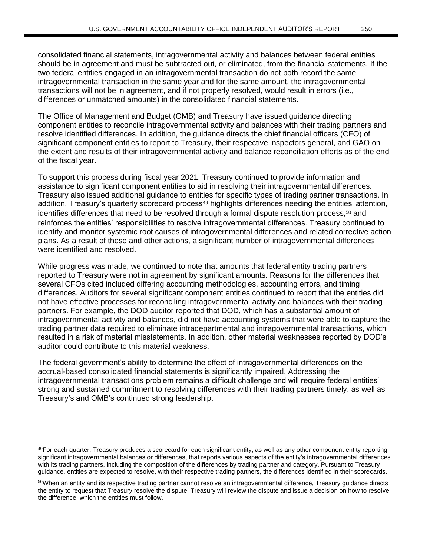consolidated financial statements, intragovernmental activity and balances between federal entities should be in agreement and must be subtracted out, or eliminated, from the financial statements. If the two federal entities engaged in an intragovernmental transaction do not both record the same intragovernmental transaction in the same year and for the same amount, the intragovernmental transactions will not be in agreement, and if not properly resolved, would result in errors (i.e., differences or unmatched amounts) in the consolidated financial statements.

The Office of Management and Budget (OMB) and Treasury have issued guidance directing component entities to reconcile intragovernmental activity and balances with their trading partners and resolve identified differences. In addition, the guidance directs the chief financial officers (CFO) of significant component entities to report to Treasury, their respective inspectors general, and GAO on the extent and results of their intragovernmental activity and balance reconciliation efforts as of the end of the fiscal year.

To support this process during fiscal year 2021, Treasury continued to provide information and assistance to significant component entities to aid in resolving their intragovernmental differences. Treasury also issued additional guidance to entities for specific types of trading partner transactions. In addition, Treasury's quarterly scorecard process<sup>49</sup> highlights differences needing the entities' attention, identifies differences that need to be resolved through a formal dispute resolution process.<sup>50</sup> and reinforces the entities' responsibilities to resolve intragovernmental differences. Treasury continued to identify and monitor systemic root causes of intragovernmental differences and related corrective action plans. As a result of these and other actions, a significant number of intragovernmental differences were identified and resolved.

While progress was made, we continued to note that amounts that federal entity trading partners reported to Treasury were not in agreement by significant amounts. Reasons for the differences that several CFOs cited included differing accounting methodologies, accounting errors, and timing differences. Auditors for several significant component entities continued to report that the entities did not have effective processes for reconciling intragovernmental activity and balances with their trading partners. For example, the DOD auditor reported that DOD, which has a substantial amount of intragovernmental activity and balances, did not have accounting systems that were able to capture the trading partner data required to eliminate intradepartmental and intragovernmental transactions, which resulted in a risk of material misstatements. In addition, other material weaknesses reported by DOD's auditor could contribute to this material weakness.

The federal government's ability to determine the effect of intragovernmental differences on the accrual-based consolidated financial statements is significantly impaired. Addressing the intragovernmental transactions problem remains a difficult challenge and will require federal entities' strong and sustained commitment to resolving differences with their trading partners timely, as well as Treasury's and OMB's continued strong leadership.

 $49$ For each quarter, Treasury produces a scorecard for each significant entity, as well as any other component entity reporting significant intragovernmental balances or differences, that reports various aspects of the entity's intragovernmental differences with its trading partners, including the composition of the differences by trading partner and category. Pursuant to Treasury guidance, entities are expected to resolve, with their respective trading partners, the differences identified in their scorecards.

<sup>50</sup>When an entity and its respective trading partner cannot resolve an intragovernmental difference, Treasury guidance directs the entity to request that Treasury resolve the dispute. Treasury will review the dispute and issue a decision on how to resolve the difference, which the entities must follow.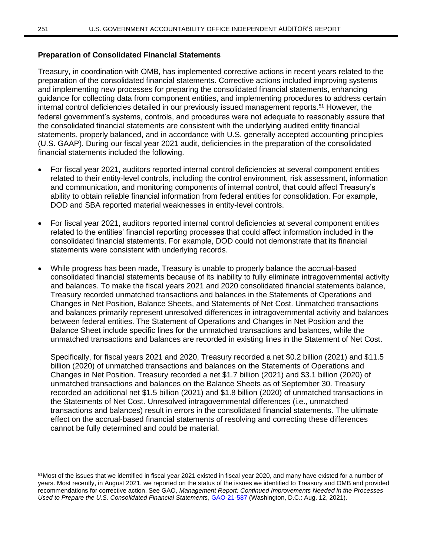### **Preparation of Consolidated Financial Statements**

Treasury, in coordination with OMB, has implemented corrective actions in recent years related to the preparation of the consolidated financial statements. Corrective actions included improving systems and implementing new processes for preparing the consolidated financial statements, enhancing guidance for collecting data from component entities, and implementing procedures to address certain internal control deficiencies detailed in our previously issued management reports.<sup>51</sup> However, the federal government's systems, controls, and procedures were not adequate to reasonably assure that the consolidated financial statements are consistent with the underlying audited entity financial statements, properly balanced, and in accordance with U.S. generally accepted accounting principles (U.S. GAAP). During our fiscal year 2021 audit, deficiencies in the preparation of the consolidated financial statements included the following.

- For fiscal year 2021, auditors reported internal control deficiencies at several component entities related to their entity-level controls, including the control environment, risk assessment, information and communication, and monitoring components of internal control, that could affect Treasury's ability to obtain reliable financial information from federal entities for consolidation. For example, DOD and SBA reported material weaknesses in entity-level controls.
- For fiscal year 2021, auditors reported internal control deficiencies at several component entities related to the entities' financial reporting processes that could affect information included in the consolidated financial statements. For example, DOD could not demonstrate that its financial statements were consistent with underlying records.
- While progress has been made, Treasury is unable to properly balance the accrual-based consolidated financial statements because of its inability to fully eliminate intragovernmental activity and balances. To make the fiscal years 2021 and 2020 consolidated financial statements balance, Treasury recorded unmatched transactions and balances in the Statements of Operations and Changes in Net Position, Balance Sheets, and Statements of Net Cost. Unmatched transactions and balances primarily represent unresolved differences in intragovernmental activity and balances between federal entities. The Statement of Operations and Changes in Net Position and the Balance Sheet include specific lines for the unmatched transactions and balances, while the unmatched transactions and balances are recorded in existing lines in the Statement of Net Cost.

Specifically, for fiscal years 2021 and 2020, Treasury recorded a net \$0.2 billion (2021) and \$11.5 billion (2020) of unmatched transactions and balances on the Statements of Operations and Changes in Net Position. Treasury recorded a net \$1.7 billion (2021) and \$3.1 billion (2020) of unmatched transactions and balances on the Balance Sheets as of September 30. Treasury recorded an additional net \$1.5 billion (2021) and \$1.8 billion (2020) of unmatched transactions in the Statements of Net Cost. Unresolved intragovernmental differences (i.e., unmatched transactions and balances) result in errors in the consolidated financial statements. The ultimate effect on the accrual-based financial statements of resolving and correcting these differences cannot be fully determined and could be material.

<sup>51</sup>Most of the issues that we identified in fiscal year 2021 existed in fiscal year 2020, and many have existed for a number of years. Most recently, in August 2021, we reported on the status of the issues we identified to Treasury and OMB and provided recommendations for corrective action. See GAO, *Management Report: Continued Improvements Needed in the Processes Used to Prepare the U.S. Consolidated Financial Statements*, [GAO-21-587](https://www.gao.gov/products/gao-21-587) (Washington, D.C.: Aug. 12, 2021).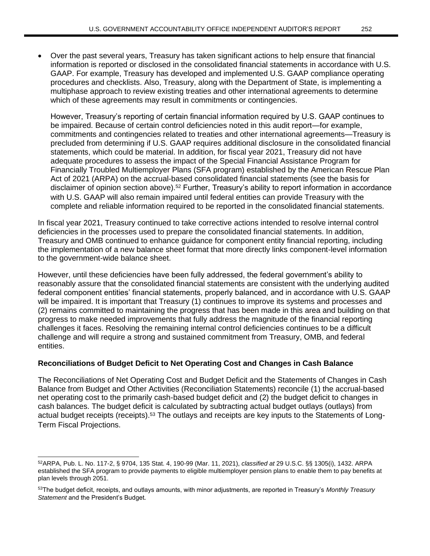• Over the past several years, Treasury has taken significant actions to help ensure that financial information is reported or disclosed in the consolidated financial statements in accordance with U.S. GAAP. For example, Treasury has developed and implemented U.S. GAAP compliance operating procedures and checklists. Also, Treasury, along with the Department of State, is implementing a multiphase approach to review existing treaties and other international agreements to determine which of these agreements may result in commitments or contingencies.

However, Treasury's reporting of certain financial information required by U.S. GAAP continues to be impaired. Because of certain control deficiencies noted in this audit report—for example, commitments and contingencies related to treaties and other international agreements—Treasury is precluded from determining if U.S. GAAP requires additional disclosure in the consolidated financial statements, which could be material. In addition, for fiscal year 2021, Treasury did not have adequate procedures to assess the impact of the Special Financial Assistance Program for Financially Troubled Multiemployer Plans (SFA program) established by the American Rescue Plan Act of 2021 (ARPA) on the accrual-based consolidated financial statements (see the basis for disclaimer of opinion section above).<sup>52</sup> Further, Treasury's ability to report information in accordance with U.S. GAAP will also remain impaired until federal entities can provide Treasury with the complete and reliable information required to be reported in the consolidated financial statements.

In fiscal year 2021, Treasury continued to take corrective actions intended to resolve internal control deficiencies in the processes used to prepare the consolidated financial statements. In addition, Treasury and OMB continued to enhance guidance for component entity financial reporting, including the implementation of a new balance sheet format that more directly links component-level information to the government-wide balance sheet.

However, until these deficiencies have been fully addressed, the federal government's ability to reasonably assure that the consolidated financial statements are consistent with the underlying audited federal component entities' financial statements, properly balanced, and in accordance with U.S. GAAP will be impaired. It is important that Treasury (1) continues to improve its systems and processes and (2) remains committed to maintaining the progress that has been made in this area and building on that progress to make needed improvements that fully address the magnitude of the financial reporting challenges it faces. Resolving the remaining internal control deficiencies continues to be a difficult challenge and will require a strong and sustained commitment from Treasury, OMB, and federal entities.

## **Reconciliations of Budget Deficit to Net Operating Cost and Changes in Cash Balance**

The Reconciliations of Net Operating Cost and Budget Deficit and the Statements of Changes in Cash Balance from Budget and Other Activities (Reconciliation Statements) reconcile (1) the accrual-based net operating cost to the primarily cash-based budget deficit and (2) the budget deficit to changes in cash balances. The budget deficit is calculated by subtracting actual budget outlays (outlays) from actual budget receipts (receipts).<sup>53</sup> The outlays and receipts are key inputs to the Statements of Long-Term Fiscal Projections.

<sup>52</sup>ARPA, Pub. L. No. 117-2, § 9704, 135 Stat. 4, 190-99 (Mar. 11, 2021), *classified at* 29 U.S.C. §§ 1305(i), 1432. ARPA established the SFA program to provide payments to eligible multiemployer pension plans to enable them to pay benefits at plan levels through 2051.

<sup>53</sup>The budget deficit, receipts, and outlays amounts, with minor adjustments, are reported in Treasury's *Monthly Treasury Statement* and the President's Budget*.*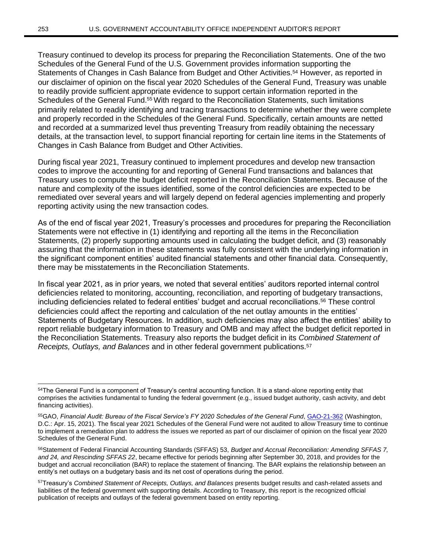Treasury continued to develop its process for preparing the Reconciliation Statements. One of the two Schedules of the General Fund of the U.S. Government provides information supporting the Statements of Changes in Cash Balance from Budget and Other Activities.<sup>54</sup> However, as reported in our disclaimer of opinion on the fiscal year 2020 Schedules of the General Fund, Treasury was unable to readily provide sufficient appropriate evidence to support certain information reported in the Schedules of the General Fund.<sup>55</sup> With regard to the Reconciliation Statements, such limitations primarily related to readily identifying and tracing transactions to determine whether they were complete and properly recorded in the Schedules of the General Fund. Specifically, certain amounts are netted and recorded at a summarized level thus preventing Treasury from readily obtaining the necessary details, at the transaction level, to support financial reporting for certain line items in the Statements of Changes in Cash Balance from Budget and Other Activities.

During fiscal year 2021, Treasury continued to implement procedures and develop new transaction codes to improve the accounting for and reporting of General Fund transactions and balances that Treasury uses to compute the budget deficit reported in the Reconciliation Statements. Because of the nature and complexity of the issues identified, some of the control deficiencies are expected to be remediated over several years and will largely depend on federal agencies implementing and properly reporting activity using the new transaction codes.

As of the end of fiscal year 2021, Treasury's processes and procedures for preparing the Reconciliation Statements were not effective in (1) identifying and reporting all the items in the Reconciliation Statements, (2) properly supporting amounts used in calculating the budget deficit, and (3) reasonably assuring that the information in these statements was fully consistent with the underlying information in the significant component entities' audited financial statements and other financial data. Consequently, there may be misstatements in the Reconciliation Statements.

In fiscal year 2021, as in prior years, we noted that several entities' auditors reported internal control deficiencies related to monitoring, accounting, reconciliation, and reporting of budgetary transactions, including deficiencies related to federal entities' budget and accrual reconciliations.<sup>56</sup> These control deficiencies could affect the reporting and calculation of the net outlay amounts in the entities' Statements of Budgetary Resources. In addition, such deficiencies may also affect the entities' ability to report reliable budgetary information to Treasury and OMB and may affect the budget deficit reported in the Reconciliation Statements. Treasury also reports the budget deficit in its *Combined Statement of Receipts, Outlays, and Balances* and in other federal government publications.<sup>57</sup>

<sup>54</sup>The General Fund is a component of Treasury's central accounting function. It is a stand-alone reporting entity that comprises the activities fundamental to funding the federal government (e.g., issued budget authority, cash activity, and debt financing activities).

<sup>55</sup>GAO, *Financial Audit: Bureau of the Fiscal Service's FY 2020 Schedules of the General Fund*[, GAO-21-362](https://www.gao.gov/products/gao-21-362) (Washington, D.C.: Apr. 15, 2021). The fiscal year 2021 Schedules of the General Fund were not audited to allow Treasury time to continue to implement a remediation plan to address the issues we reported as part of our disclaimer of opinion on the fiscal year 2020 Schedules of the General Fund.

<sup>56</sup>Statement of Federal Financial Accounting Standards (SFFAS) 53, *Budget and Accrual Reconciliation: Amending SFFAS 7, and 24, and Rescinding SFFAS 22*, became effective for periods beginning after September 30, 2018, and provides for the budget and accrual reconciliation (BAR) to replace the statement of financing. The BAR explains the relationship between an entity's net outlays on a budgetary basis and its net cost of operations during the period.

<sup>57</sup>Treasury's *Combined Statement of Receipts, Outlays, and Balances* presents budget results and cash-related assets and liabilities of the federal government with supporting details. According to Treasury, this report is the recognized official publication of receipts and outlays of the federal government based on entity reporting.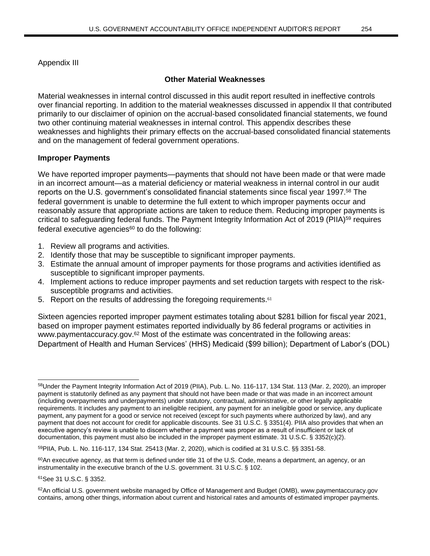## Appendix III

## **Other Material Weaknesses**

Material weaknesses in internal control discussed in this audit report resulted in ineffective controls over financial reporting. In addition to the material weaknesses discussed in appendix II that contributed primarily to our disclaimer of opinion on the accrual-based consolidated financial statements, we found two other continuing material weaknesses in internal control. This appendix describes these weaknesses and highlights their primary effects on the accrual-based consolidated financial statements and on the management of federal government operations.

## **Improper Payments**

We have reported improper payments—payments that should not have been made or that were made in an incorrect amount—as a material deficiency or material weakness in internal control in our audit reports on the U.S. government's consolidated financial statements since fiscal year 1997.<sup>58</sup> The federal government is unable to determine the full extent to which improper payments occur and reasonably assure that appropriate actions are taken to reduce them. Reducing improper payments is critical to safeguarding federal funds. The Payment Integrity Information Act of 2019 (PIIA)<sup>59</sup> requires federal executive agencies $60$  to do the following:

- 1. Review all programs and activities.
- 2. Identify those that may be susceptible to significant improper payments.
- 3. Estimate the annual amount of improper payments for those programs and activities identified as susceptible to significant improper payments.
- 4. Implement actions to reduce improper payments and set reduction targets with respect to the risksusceptible programs and activities.
- 5. Report on the results of addressing the foregoing requirements.<sup>61</sup>

Sixteen agencies reported improper payment estimates totaling about \$281 billion for fiscal year 2021, based on improper payment estimates reported individually by 86 federal programs or activities in www.paymentaccuracy.gov.<sup>62</sup> Most of the estimate was concentrated in the following areas: Department of Health and Human Services' (HHS) Medicaid (\$99 billion); Department of Labor's (DOL)

<sup>58</sup>Under the Payment Integrity Information Act of 2019 (PIIA), Pub. L. No. 116-117, 134 Stat. 113 (Mar. 2, 2020), an improper payment is statutorily defined as any payment that should not have been made or that was made in an incorrect amount (including overpayments and underpayments) under statutory, contractual, administrative, or other legally applicable requirements. It includes any payment to an ineligible recipient, any payment for an ineligible good or service, any duplicate payment, any payment for a good or service not received (except for such payments where authorized by law), and any payment that does not account for credit for applicable discounts. See 31 U.S.C. § 3351(4). PIIA also provides that when an executive agency's review is unable to discern whether a payment was proper as a result of insufficient or lack of documentation, this payment must also be included in the improper payment estimate. 31 U.S.C. § 3352(c)(2).

<sup>59</sup>PIIA, Pub. L. No. 116-117, 134 Stat. 25413 (Mar. 2, 2020), which is codified at 31 U.S.C. §§ 3351-58.

 $60$ An executive agency, as that term is defined under title 31 of the U.S. Code, means a department, an agency, or an instrumentality in the executive branch of the U.S. government. 31 U.S.C. § 102.

<sup>61</sup>See 31 U.S.C. § 3352.

<sup>62</sup>An official U.S. government website managed by Office of Management and Budget (OMB), www.paymentaccuracy.gov contains, among other things, information about current and historical rates and amounts of estimated improper payments.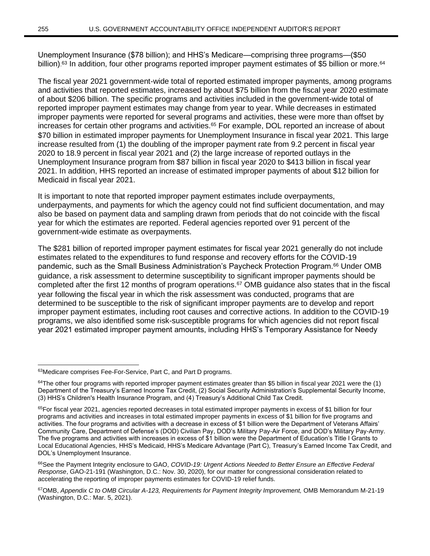Unemployment Insurance (\$78 billion); and HHS's Medicare—comprising three programs—(\$50 billion).<sup>63</sup> In addition, four other programs reported improper payment estimates of \$5 billion or more.<sup>64</sup>

The fiscal year 2021 government-wide total of reported estimated improper payments, among programs and activities that reported estimates, increased by about \$75 billion from the fiscal year 2020 estimate of about \$206 billion. The specific programs and activities included in the government-wide total of reported improper payment estimates may change from year to year. While decreases in estimated improper payments were reported for several programs and activities, these were more than offset by increases for certain other programs and activities.<sup>65</sup> For example, DOL reported an increase of about \$70 billion in estimated improper payments for Unemployment Insurance in fiscal year 2021. This large increase resulted from (1) the doubling of the improper payment rate from 9.2 percent in fiscal year 2020 to 18.9 percent in fiscal year 2021 and (2) the large increase of reported outlays in the Unemployment Insurance program from \$87 billion in fiscal year 2020 to \$413 billion in fiscal year 2021. In addition, HHS reported an increase of estimated improper payments of about \$12 billion for Medicaid in fiscal year 2021.

It is important to note that reported improper payment estimates include overpayments, underpayments, and payments for which the agency could not find sufficient documentation, and may also be based on payment data and sampling drawn from periods that do not coincide with the fiscal year for which the estimates are reported. Federal agencies reported over 91 percent of the government-wide estimate as overpayments.

The \$281 billion of reported improper payment estimates for fiscal year 2021 generally do not include estimates related to the expenditures to fund response and recovery efforts for the COVID-19 pandemic, such as the Small Business Administration's Paycheck Protection Program.<sup>66</sup> Under OMB guidance, a risk assessment to determine susceptibility to significant improper payments should be completed after the first 12 months of program operations.<sup>67</sup> OMB guidance also states that in the fiscal year following the fiscal year in which the risk assessment was conducted, programs that are determined to be susceptible to the risk of significant improper payments are to develop and report improper payment estimates, including root causes and corrective actions. In addition to the COVID-19 programs, we also identified some risk-susceptible programs for which agencies did not report fiscal year 2021 estimated improper payment amounts, including HHS's Temporary Assistance for Needy

<sup>63</sup>Medicare comprises Fee-For-Service, Part C, and Part D programs.

 $64$ The other four programs with reported improper payment estimates greater than \$5 billion in fiscal year 2021 were the (1) Department of the Treasury's Earned Income Tax Credit, (2) Social Security Administration's Supplemental Security Income, (3) HHS's Children's Health Insurance Program, and (4) Treasury's Additional Child Tax Credit.

 $65$ For fiscal year 2021, agencies reported decreases in total estimated improper payments in excess of \$1 billion for four programs and activities and increases in total estimated improper payments in excess of \$1 billion for five programs and activities. The four programs and activities with a decrease in excess of \$1 billion were the Department of Veterans Affairs' Community Care, Department of Defense's (DOD) Civilian Pay, DOD's Military Pay-Air Force, and DOD's Military Pay-Army. The five programs and activities with increases in excess of \$1 billion were the Department of Education's Title I Grants to Local Educational Agencies, HHS's Medicaid, HHS's Medicare Advantage (Part C), Treasury's Earned Income Tax Credit, and DOL's Unemployment Insurance.

<sup>66</sup>See the Payment Integrity enclosure to GAO, *COVID-19: Urgent Actions Needed to Better Ensure an Effective Federal Response*, GAO-21-191 (Washington, D.C.: Nov. 30, 2020), for our matter for congressional consideration related to accelerating the reporting of improper payments estimates for COVID-19 relief funds.

<sup>67</sup>OMB, *Appendix C to OMB Circular A-123, Requirements for Payment Integrity Improvement,* OMB Memorandum M-21-19 (Washington, D.C.: Mar. 5, 2021).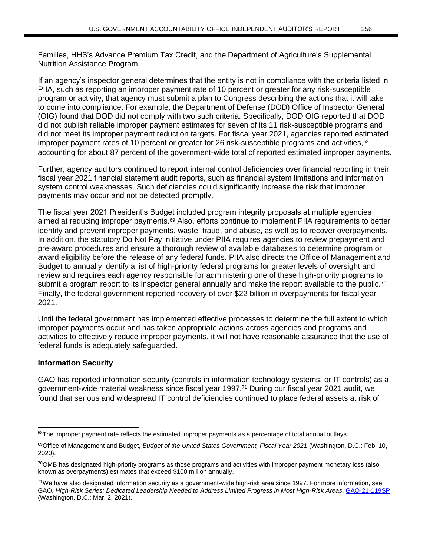Families, HHS's Advance Premium Tax Credit, and the Department of Agriculture's Supplemental Nutrition Assistance Program.

If an agency's inspector general determines that the entity is not in compliance with the criteria listed in PIIA, such as reporting an improper payment rate of 10 percent or greater for any risk-susceptible program or activity, that agency must submit a plan to Congress describing the actions that it will take to come into compliance. For example, the Department of Defense (DOD) Office of Inspector General (OIG) found that DOD did not comply with two such criteria. Specifically, DOD OIG reported that DOD did not publish reliable improper payment estimates for seven of its 11 risk-susceptible programs and did not meet its improper payment reduction targets. For fiscal year 2021, agencies reported estimated improper payment rates of 10 percent or greater for 26 risk-susceptible programs and activities, 68 accounting for about 87 percent of the government-wide total of reported estimated improper payments.

Further, agency auditors continued to report internal control deficiencies over financial reporting in their fiscal year 2021 financial statement audit reports, such as financial system limitations and information system control weaknesses. Such deficiencies could significantly increase the risk that improper payments may occur and not be detected promptly.

The fiscal year 2021 President's Budget included program integrity proposals at multiple agencies aimed at reducing improper payments.<sup>69</sup> Also, efforts continue to implement PIIA requirements to better identify and prevent improper payments, waste, fraud, and abuse, as well as to recover overpayments. In addition, the statutory Do Not Pay initiative under PIIA requires agencies to review prepayment and pre-award procedures and ensure a thorough review of available databases to determine program or award eligibility before the release of any federal funds. PIIA also directs the Office of Management and Budget to annually identify a list of high-priority federal programs for greater levels of oversight and review and requires each agency responsible for administering one of these high-priority programs to submit a program report to its inspector general annually and make the report available to the public.<sup>70</sup> Finally, the federal government reported recovery of over \$22 billion in overpayments for fiscal year 2021.

Until the federal government has implemented effective processes to determine the full extent to which improper payments occur and has taken appropriate actions across agencies and programs and activities to effectively reduce improper payments, it will not have reasonable assurance that the use of federal funds is adequately safeguarded.

# **Information Security**

GAO has reported information security (controls in information technology systems, or IT controls) as a government-wide material weakness since fiscal year 1997.<sup>71</sup> During our fiscal year 2021 audit, we found that serious and widespread IT control deficiencies continued to place federal assets at risk of

 $68$ The improper payment rate reflects the estimated improper payments as a percentage of total annual outlays.

<sup>69</sup>Office of Management and Budget, *Budget of the United States Government, Fiscal Year 2021* (Washington, D.C.: Feb. 10, 2020).

 $70$ OMB has designated high-priority programs as those programs and activities with improper payment monetary loss (also known as overpayments) estimates that exceed \$100 million annually.

<sup>71</sup>We have also designated information security as a government-wide high-risk area since 1997. For more information, see GAO, *High-Risk Series: Dedicated Leadership Needed to Address Limited Progress in Most High-Risk Areas*, [GAO-21-119SP](https://www.gao.gov/products/gao-21-119sp) (Washington, D.C.: Mar. 2, 2021).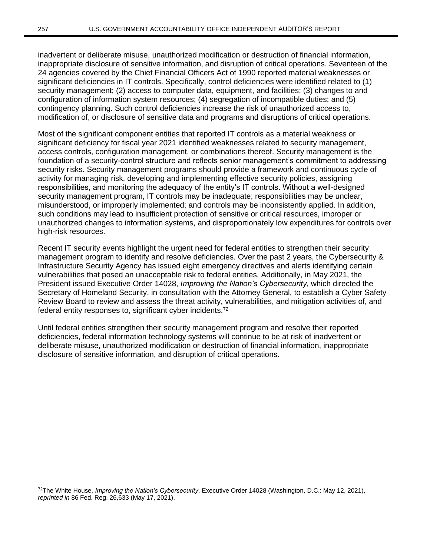inadvertent or deliberate misuse, unauthorized modification or destruction of financial information, inappropriate disclosure of sensitive information, and disruption of critical operations. Seventeen of the 24 agencies covered by the Chief Financial Officers Act of 1990 reported material weaknesses or significant deficiencies in IT controls. Specifically, control deficiencies were identified related to (1) security management; (2) access to computer data, equipment, and facilities; (3) changes to and configuration of information system resources; (4) segregation of incompatible duties; and (5) contingency planning. Such control deficiencies increase the risk of unauthorized access to, modification of, or disclosure of sensitive data and programs and disruptions of critical operations.

Most of the significant component entities that reported IT controls as a material weakness or significant deficiency for fiscal year 2021 identified weaknesses related to security management, access controls, configuration management, or combinations thereof. Security management is the foundation of a security-control structure and reflects senior management's commitment to addressing security risks. Security management programs should provide a framework and continuous cycle of activity for managing risk, developing and implementing effective security policies, assigning responsibilities, and monitoring the adequacy of the entity's IT controls. Without a well-designed security management program, IT controls may be inadequate; responsibilities may be unclear, misunderstood, or improperly implemented; and controls may be inconsistently applied. In addition, such conditions may lead to insufficient protection of sensitive or critical resources, improper or unauthorized changes to information systems, and disproportionately low expenditures for controls over high-risk resources.

Recent IT security events highlight the urgent need for federal entities to strengthen their security management program to identify and resolve deficiencies. Over the past 2 years, the Cybersecurity & Infrastructure Security Agency has issued eight emergency directives and alerts identifying certain vulnerabilities that posed an unacceptable risk to federal entities. Additionally, in May 2021, the President issued Executive Order 14028, *Improving the Nation's Cybersecurity*, which directed the Secretary of Homeland Security, in consultation with the Attorney General, to establish a Cyber Safety Review Board to review and assess the threat activity, vulnerabilities, and mitigation activities of, and federal entity responses to, significant cyber incidents.<sup>72</sup>

Until federal entities strengthen their security management program and resolve their reported deficiencies, federal information technology systems will continue to be at risk of inadvertent or deliberate misuse, unauthorized modification or destruction of financial information, inappropriate disclosure of sensitive information, and disruption of critical operations.

<sup>72</sup>The White House, *Improving the Nation's Cybersecurity*, Executive Order 14028 (Washington, D.C.: May 12, 2021), *reprinted in* 86 Fed. Reg. 26,633 (May 17, 2021).